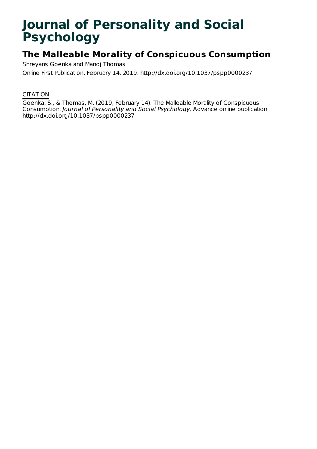# **Journal of Personality and Social Psychology**

## **The Malleable Morality of Conspicuous Consumption**

Shreyans Goenka and Manoj Thomas Online First Publication, February 14, 2019. http://dx.doi.org/10.1037/pspp0000237

### **CITATION**

Goenka, S., & Thomas, M. (2019, February 14). The Malleable Morality of Conspicuous Consumption. Journal of Personality and Social Psychology. Advance online publication. http://dx.doi.org/10.1037/pspp0000237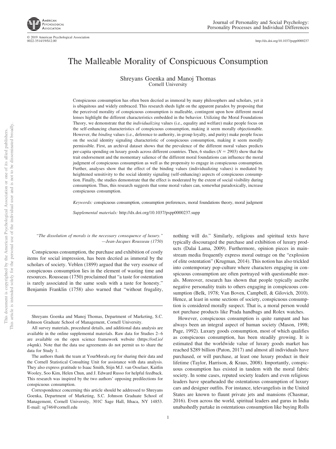

© 2019 American Psychological Association<br>0022-3514/19/\$12.00

http://dx.doi.org[/10.1037/pspp0000237](http://dx.doi.org/10.1037/pspp0000237)

## The Malleable Morality of Conspicuous Consumption

Shreyans Goenka and Manoj Thomas Cornell University

Conspicuous consumption has often been decried as immoral by many philosophers and scholars, yet it is ubiquitous and widely embraced. This research sheds light on the apparent paradox by proposing that the perceived morality of conspicuous consumption is malleable, contingent upon how different moral lenses highlight the different characteristics embedded in the behavior. Utilizing the Moral Foundations Theory, we demonstrate that the *individualizing* values (i.e., equality and welfare) make people focus on the self-enhancing characteristics of conspicuous consumption, making it seem morally objectionable. However, the *binding* values (i.e., deference to authority, in-group loyalty, and purity) make people focus on the social identity signaling characteristic of conspicuous consumption, making it seem morally permissible. First, an archival dataset shows that the prevalence of the different moral values predicts per-capita spending on luxury goods across different countries. Then, 6 studies ( $N = 2903$ ) show that the trait endorsement and the momentary salience of the different moral foundations can influence the moral judgment of conspicuous consumption as well as the propensity to engage in conspicuous consumption. Further, analyses show that the effect of the binding values (individualizing values) is mediated by heightened sensitivity to the social identity signaling (self-enhancing) aspects of conspicuous consumption. Finally, the studies demonstrate that the effect is moderated by the extent of social visibility during consumption. Thus, this research suggests that some moral values can, somewhat paradoxically, increase conspicuous consumption.

*Keywords:* conspicuous consumption, consumption preferences, moral foundations theory, moral judgment

*Supplemental materials:* http://dx.doi.org/10.1037/pspp0000237.supp

*"The dissolution of morals is the necessary consequence of luxury." —Jean-Jacques Rousseau (1750)*

Conspicuous consumption, the purchase and exhibition of costly items for social impression, has been decried as immoral by the scholars of society. Veblen (1899) argued that the very essence of conspicuous consumption lies in the element of wasting time and resources. Rousseau (1750) proclaimed that "a taste for ostentation is rarely associated in the same souls with a taste for honesty." Benjamin Franklin (1758) also warned that "without frugality,

Shreyans Goenka and Manoj Thomas, Department of Marketing, S.C. Johnson Graduate School of Management, Cornell University.

All survey materials, procedural details, and additional data analysis are available in the [online supplemental materials.](http://dx.doi.org/10.1037/pspp0000237.supp) Raw data for Studies 2– 6 are available on the open science framework website [\(https://osf.io/](https://osf.io/z4qmk) [z4qmk\)](https://osf.io/z4qmk). Note that the data use agreements do not permit us to share the data for Study 1.

The authors thank the team at YourMorals.org for sharing their data and the Cornell Statistical Consulting Unit for assistance with data analysis. They also express gratitude to Isaac Smith, Stijn M.J. van Osselaer, Kaitlin Wooley, Soo Kim, Helen Chun, and J. Edward Russo for helpful feedback. This research was inspired by the two authors' opposing predilections for conspicuous consumption.

Correspondence concerning this article should be addressed to Shreyans Goenka, Department of Marketing, S.C. Johnson Graduate School of Management, Cornell University, 301C Sage Hall, Ithaca, NY 14853. E-mail: [sg746@cornell.edu](mailto:sg746@cornell.edu)

1

nothing will do." Similarly, religious and spiritual texts have typically discouraged the purchase and exhibition of luxury products (Dalai Lama, 2009). Furthermore, opinion pieces in mainstream media frequently express moral outrage on the "explosion of elite ostentation" (Krugman, 2014). This notion has also trickled into contemporary pop-culture where characters engaging in conspicuous consumption are often portrayed with questionable morals. Moreover, research has shown that people typically ascribe negative personality traits to others engaging in conspicuous consumption (Belk, 1978; Van Boven, Campbell, & Gilovich, 2010). Hence, at least in some sections of society, conspicuous consumption is considered morally suspect. That is, a moral person would not purchase products like Prada handbags and Rolex watches.

However, conspicuous consumption is quite rampant and has always been an integral aspect of human society (Mason, 1998; Page, 1992). Luxury goods consumption, most of which qualifies as conspicuous consumption, has been steadily growing. It is estimated that the worldwide value of luxury goods market has reached \$289 billion (Paton, 2017) and almost all individuals have purchased, or will purchase, at least one luxury product in their lifetime (Taylor, Harrison, & Kraus, 2008). Importantly, conspicuous consumption has existed in tandem with the moral fabric society. In some cases, reputed society leaders and even religious leaders have spearheaded the ostentatious consumption of luxury cars and designer outfits. For instance, televangelists in the United States are known to flaunt private jets and mansions (Chasmar, 2016). Even across the world, spiritual leaders and gurus in India unabashedly partake in ostentatious consumption like buying Rolls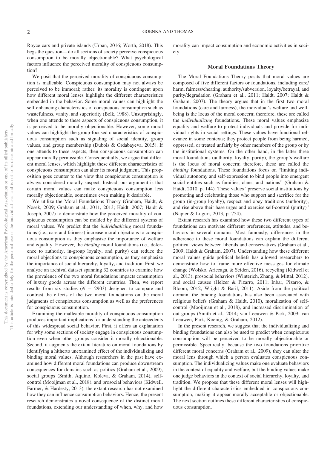Royce cars and private islands (Urban, 2016; Worth, 2018). This begs the question— do all sections of society perceive conspicuous consumption to be morally objectionable? What psychological factors influence the perceived morality of conspicuous consumption?

We posit that the perceived morality of conspicuous consumption is malleable. Conspicuous consumption may not always be perceived to be immoral; rather, its morality is contingent upon how different moral lenses highlight the different characteristics embedded in the behavior. Some moral values can highlight the self-enhancing characteristics of conspicuous consumption such as wastefulness, vanity, and superiority (Belk, 1988). Unsurprisingly, when one attends to these aspects of conspicuous consumption, it is perceived to be morally objectionable. However, some moral values can highlight the group-focused characteristics of conspicuous consumption such as signaling of social identity, group values, and group membership (Dubois & Ordabayeva, 2015). If one attends to these aspects, then conspicuous consumption can appear morally permissible. Consequentially, we argue that different moral lenses, which highlight these different characteristics of conspicuous consumption can alter its moral judgment. This proposition goes counter to the view that conspicuous consumption is always considered morally suspect. Instead, our argument is that certain moral values can make conspicuous consumption less morally objectionable, sometimes even making it desirable.

We utilize the Moral Foundations Theory (Graham, Haidt, & Nosek, 2009; Graham et al., 2011, 2013; Haidt, 2007; Haidt & Joseph, 2007) to demonstrate how the perceived morality of conspicuous consumption can be molded by the different systems of moral values. We predict that the *individualizing* moral foundations (i.e., care and fairness) increase moral objections to conspicuous consumption as they emphasize the importance of welfare and equality. However, the *binding* moral foundations (i.e., deference to authority, in-group loyalty, and purity) can reduce the moral objections to conspicuous consumption, as they emphasize the importance of social hierarchy, loyalty, and tradition. First, we analyze an archival dataset spanning 32 countries to examine how the prevalence of the two moral foundations impacts consumption of luxury goods across the different countries. Then, we report results from six studies  $(N = 2903)$  designed to compare and contrast the effects of the two moral foundations on the moral judgments of conspicuous consumption as well as the preferences for conspicuous consumption.

Examining the malleable morality of conspicuous consumption produces important implications for understanding the antecedents of this widespread social behavior. First, it offers an explanation for why some sections of society engage in conspicuous consumption even when other groups consider it morally objectionable. Second, it augments the extant literature on moral foundations by identifying a hitherto unexamined effect of the individualizing and binding moral values. Although researchers in the past have examined how different moral foundations can produce downstream consequences for domains such as politics (Graham et al., 2009), social groups (Smith, Aquino, Koleva, & Graham, 2014), selfcontrol (Mooijman et al., 2018), and prosocial behaviors (Kidwell, Farmer, & Hardesty, 2013), the extant research has not examined how they can influence consumption behaviors. Hence, the present research demonstrates a novel consequence of the distinct moral foundations, extending our understanding of when, why, and how

morality can impact consumption and economic activities in society.

#### **Moral Foundations Theory**

The Moral Foundations Theory posits that moral values are composed of five different factors or foundations, including care/ harm, fairness/cheating, authority/subversion, loyalty/betrayal, and purity/degradation (Graham et al., 2011; Haidt, 2007; Haidt & Graham, 2007). The theory argues that in the first two moral foundations (care and fairness), the individual's welfare and wellbeing is the locus of the moral concern; therefore, these are called the *individualizing* foundations. These moral values emphasize equality and welfare to protect individuals and provide for individual rights in social settings. These values have functional relevance in some contexts; they protect people from being harmed, oppressed, or treated unfairly by other members of the group or by the institutional systems. On the other hand, in the latter three moral foundations (authority, loyalty, purity), the group's welfare is the locus of moral concern; therefore, these are called the *binding* foundations. These foundations focus on "limiting individual autonomy and self-expression to bind people into emergent social entities such as families, clans, and nations" (Graham & Haidt, 2010, p. 144). These values "preserve social institutions by promoting and celebrating those who support and sacrifice for the group (in-group loyalty), respect and obey traditions (authority), and rise above their base urges and exercise self-control (purity)" (Napier & Luguri, 2013, p. 754).

Extant research has examined how these two different types of foundations can motivate different preferences, attitudes, and behaviors in several domains. Most famously, differences in the adherence to these moral foundations can explain the different political views between liberals and conservatives (Graham et al., 2009; Haidt & Graham, 2007). Understanding how these different moral values guide political beliefs has allowed researchers to demonstrate how to frame more effective messages for climate change (Wolsko, Ariceaga, & Seiden, 2016), recycling (Kidwell et al., 2013), prosocial behaviors (Winterich, Zhang, & Mittal, 2012), and social causes (Helzer & Pizarro, 2011; Inbar, Pizarro, & Bloom, 2012; Wright & Baril, 2011). Aside from the political domain, the binding foundations has also been associated with religious beliefs (Graham & Haidt, 2010), moralization of selfcontrol (Mooijman et al., 2018), and increased discrimination of out-groups (Smith et al., 2014; van Leeuwen & Park, 2009; van Leeuwen, Park, Koenig, & Graham, 2012).

In the present research, we suggest that the individualizing and binding foundations can also be used to predict when conspicuous consumption will be perceived to be morally objectionable or permissible. Specifically, because the two foundations prioritize different moral concerns (Graham et al., 2009), they can alter the moral lens through which a person evaluates conspicuous consumption. The individualizing values make one evaluate behaviors in the context of equality and welfare, but the binding values make one judge behaviors in the context of social hierarchy, loyalty, and tradition. We propose that these different moral lenses will highlight the different characteristics embedded in conspicuous consumption, making it appear morally acceptable or objectionable. The next section outlines these different characteristics of conspicuous consumption.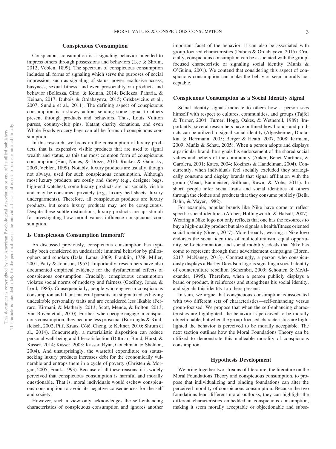#### **Conspicuous Consumption**

Conspicuous consumption is a signaling behavior intended to impress others through possessions and behaviors (Lee & Shrum, 2012; Veblen, 1899). The spectrum of conspicuous consumption includes all forms of signaling which serve the purposes of social impression, such as signaling of status, power, exclusive access, busyness, sexual fitness, and even prosociality via products and behavior (Bellezza, Gino, & Keinan, 2014; Bellezza, Paharia, & Keinan, 2017; Dubois & Ordabayeva, 2015; Griskevicius et al., 2007; Sundie et al., 2011). The defining aspect of conspicuous consumption is a showy action, sending some signal to others present through products and behaviors. Thus, Louis Vuitton purses, country-club pins, blatant charity donations, and even Whole Foods grocery bags can all be forms of conspicuous consumption.

In this research, we focus on the consumption of luxury products, that is, expensive visible products that are used to signal wealth and status, as this the most common form of conspicuous consumption (Han, Nunes, & Drèze, 2010; [Rucker & Galinsky,](#page-21-0) [2009;](#page-21-0) Veblen, 1899). Notably, luxury products are usually, though not always, used for such conspicuous consumption. Although most luxury products are costly and showy (e.g., designer bags, high-end watches), some luxury products are not socially visible and may be consumed privately (e.g., luxury bed sheets, luxury undergarments). Therefore, all conspicuous products are luxury products, but some luxury products may not be conspicuous. Despite these subtle distinctions, luxury products are apt stimuli for investigating how moral values influence conspicuous consumption.

#### **Is Conspicuous Consumption Immoral?**

As discussed previously, conspicuous consumption has typically been considered an undesirable immoral behavior by philosophers and scholars (Dalai Lama, 2009; Franklin, 1758; Miller, 2001; Patty & Johnson, 1953). Importantly, researchers have also documented empirical evidence for the dysfunctional effects of conspicuous consumption. Crucially, conspicuous consumption violates social norms of modesty and fairness (Godfrey, Jones, & Lord, 1986). Consequentially, people who engage in conspicuous consumption and flaunt material pursuits are stigmatized as having undesirable personality traits and are considered less likable (Ferraro, Kirmani, & Matherly, 2013; Scott, Mende, & Bolton, 2013; Van Boven et al., 2010). Further, when people engage in conspicuous consumption, they become less prosocial (Burroughs & Rindfleisch, 2002; Piff, Kraus, Côté, Cheng, & Keltner, 2010; Shrum et al., 2014). Concurrently, a materialistic disposition can reduce personal well-being and life-satisfaction (Dittmar, Bond, Hurst, & Kasser, 2014; Kasser, 2003; Kasser, Ryan, Couchman, & Sheldon, 2004). And unsurprisingly, the wasteful expenditure on statusseeking luxury products increases debt for the economically vulnerable and entraps them in a cycle of poverty (Christen & Morgan, 2005; Frank, 1993). Because of all these reasons, it is widely perceived that conspicuous consumption is harmful and morally questionable. That is, moral individuals would eschew conspicuous consumption to avoid its negative consequences for the self and society.

However, such a view only acknowledges the self-enhancing characteristics of conspicuous consumption and ignores another important facet of the behavior: it can also be associated with group-focused characteristics (Dubois & Ordabayeva, 2015). Crucially, conspicuous consumption can be associated with the groupfocused characteristic of signaling social identity (Muniz & O'Guinn, 2001). We contend that considering this aspect of conspicuous consumption can make the behavior seem morally acceptable.

#### **Conspicuous Consumption as a Social Identity Signal**

Social identity signals indicate to others how a person sees himself with respect to cultures, communities, and groups (Tajfel & Turner, 2004; Turner, Hogg, Oakes, & Wetherell, 1989). Importantly, several researchers have outlined how brands and products can be utilized to signal social identity (Algesheimer, Dholakia, & Herrmann, 2005; Berger & Heath, 2007, 2008; Kirmani, 2009; Muñiz & Schau, 2005). When a person adopts and displays a particular brand, he signals his endorsement of the shared social values and beliefs of the community (Aaker, Benet-Martínez, & Garolera, 2001; Kates, 2004; Kozinets & Handelman, 2004). Concurrently, when individuals feel socially excluded they strategically consume and display brands that signal affiliation with the group (Mead, Baumeister, Stillman, Rawn, & Vohs, 2011). In short, people infer social traits and social identities of others through the clothes and products that they consume publicly (Belk, Bahn, & Mayer, 1982).

For example, popular brands like Nike have come to reflect specific social identities (Archer, Hollingworth, & Halsall, 2007). Wearing a Nike logo not only reflects that one has the resources to buy a high-quality product but also signals a health/fitness oriented social identity (Green, 2017). More broadly, wearing a Nike logo endorses the social identities of multiculturalism, equal opportunity, self-determination, and social mobility, ideals that Nike has come to represent through their advertisement campaigns (Boren, 2017; McNaney, 2013). Contrastingly, a person who conspicuously displays a Harley Davidson logo is signaling a social identity of counterculture rebellion (Schembri, 2009; Schouten & McAlexander, 1995). Therefore, when a person publicly displays a brand or product, it reinforces and strengthens his social identity, and signals this identity to others present.

In sum, we argue that conspicuous consumption is associated with two different sets of characteristics—self-enhancing versus group-focused. We propose that when the self-enhancing characteristics are highlighted, the behavior is perceived to be morally objectionable, but when the group-focused characteristics are highlighted the behavior is perceived to be morally acceptable. The next section outlines how the Moral Foundations Theory can be utilized to demonstrate this malleable morality of conspicuous consumption.

#### **Hypothesis Development**

We bring together two streams of literature, the literature on the Moral Foundations Theory and conspicuous consumption, to propose that individualizing and binding foundations can alter the perceived morality of conspicuous consumption. Because the two foundations lend different moral outlooks, they can highlight the different characteristics embedded in conspicuous consumption, making it seem morally acceptable or objectionable and subse-

This document is copyrighted by the American Psychological Association or one of its allied publishers. This article is intended solely for the personal use of the individual user and is not to be disseminated broadly.

This document is copyrighted by the American Psychological Association or one of its allied publishers.<br>This article is intended solely for the personal use of the individual user and is not to be disseminated broadly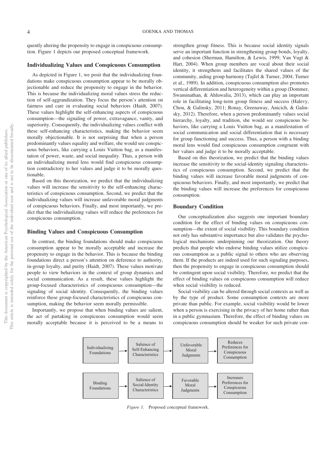quently altering the propensity to engage in conspicuous consumption. Figure 1 depicts our proposed conceptual framework.

#### **Individualizing Values and Conspicuous Consumption**

As depicted in Figure 1, we posit that the individualizing foundations make conspicuous consumption appear to be morally objectionable and reduce the propensity to engage in the behavior. This is because the individualizing moral values stress the reduction of self-aggrandization. They focus the person's attention on fairness and care in evaluating social behaviors (Haidt, 2007). These values highlight the self-enhancing aspects of conspicuous consumption—the signaling of power, extravagance, vanity, and superiority. Consequently, the individualizing values conflict with these self-enhancing characteristics, making the behavior seem morally objectionable. It is not surprising that when a person predominantly values equality and welfare, she would see conspicuous behaviors, like carrying a Louis Vuitton bag, as a manifestation of power, waste, and social inequality. Thus, a person with an individualizing moral lens would find conspicuous consumption contradictory to her values and judge it to be morally questionable.

Based on this theorization, we predict that the individualizing values will increase the sensitivity to the self-enhancing characteristics of conspicuous consumption. Second, we predict that the individualizing values will increase unfavorable moral judgments of conspicuous behaviors. Finally, and most importantly, we predict that the individualizing values will reduce the preferences for conspicuous consumption.

#### **Binding Values and Conspicuous Consumption**

In contrast, the binding foundations should make conspicuous consumption appear to be morally acceptable and increase the propensity to engage in the behavior. This is because the binding foundations direct a person's attention on deference to authority, in-group loyalty, and purity (Haidt, 2007). These values motivate people to view behaviors in the context of group dynamics and social communication. As a result, these values highlight the group-focused characteristics of conspicuous consumption—the signaling of social identity. Consequently, the binding values reinforce these group-focused characteristics of conspicuous consumption, making the behavior seem morally permissible.

Importantly, we propose that when binding values are salient, the act of partaking in conspicuous consumption would seem morally acceptable because it is perceived to be a means to strengthen group fitness. This is because social identity signals serve an important function in strengthening group bonds, loyalty, and cohesion (Sherman, Hamilton, & Lewis, 1999; Van Vugt & Hart, 2004). When group members are vocal about their social identity, it strengthens and facilitates the shared values of the community, aiding group harmony (Tajfel & Turner, 2004; Turner et al., 1989). In addition, conspicuous consumption also promotes vertical differentiation and heterogeneity within a group (Dommer, Swaminathan, & Ahluwalia, 2013), which can play an important role in facilitating long-term group fitness and success (Halevy, Chou, & Galinsky, 2011; Ronay, Greenaway, Anicich, & Galinsky, 2012). Therefore, when a person predominantly values social hierarchy, loyalty, and tradition, she would see conspicuous behaviors, like carrying a Louis Vuitton bag, as a manifestation of social communication and social differentiation that is necessary for group functioning and success. Thus, a person with a binding moral lens would find conspicuous consumption congruent with her values and judge it to be morally acceptable.

Based on this theorization, we predict that the binding values increase the sensitivity to the social-identity signaling characteristics of conspicuous consumption. Second, we predict that the binding values will increase favorable moral judgments of conspicuous behaviors. Finally, and most importantly, we predict that the binding values will increase the preferences for conspicuous consumption.

#### **Boundary Condition**

Our conceptualization also suggests one important boundary condition for the effect of binding values on conspicuous consumption—the extent of social visibility. This boundary condition not only has substantive importance but also validates the psychological mechanisms underpinning our theorization. Our theory predicts that people who endorse binding values utilize conspicuous consumption as a public signal to others who are observing them. If the products are indeed used for such signaling purposes, then the propensity to engage in conspicuous consumption should be contingent upon social visibility. Therefore, we predict that the effect of binding values on conspicuous consumption will reduce when social visibility is reduced.

Social visibility can be altered through social contexts as well as by the type of product. Some consumption contexts are more private than public. For example, social visibility would be lower when a person is exercising in the privacy of her home rather than in a public gymnasium. Therefore, the effect of binding values on conspicuous consumption should be weaker for such private con-



*Figure 1.* Proposed conceptual framework.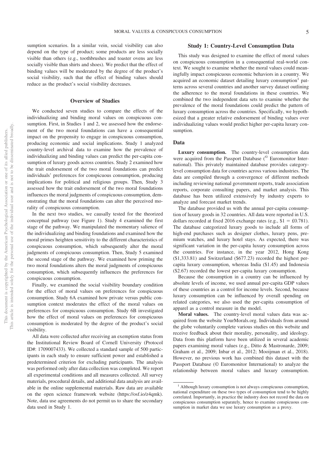sumption scenarios. In a similar vein, social visibility can also depend on the type of product; some products are less socially visible than others (e.g., toothbrushes and toaster ovens are less socially visible than shirts and shoes). We predict that the effect of binding values will be moderated by the degree of the product's social visibility, such that the effect of binding values should reduce as the product's social visibility decreases.

#### **Overview of Studies**

We conducted seven studies to compare the effects of the individualizing and binding moral values on conspicuous consumption. First, in Studies 1 and 2, we assessed how the endorsement of the two moral foundations can have a consequential impact on the propensity to engage in conspicuous consumption, producing economic and social implications. Study 1 analyzed country-level archival data to examine how the prevalence of individualizing and binding values can predict the per-capita consumption of luxury goods across countries. Study 2 examined how the trait endorsement of the two moral foundations can predict individuals' preferences for conspicuous consumption, producing implications for political and religious groups. Then, Study 3 assessed how the trait endorsement of the two moral foundations influences the moral judgments of conspicuous consumption, demonstrating that the moral foundations can alter the perceived morality of conspicuous consumption.

In the next two studies, we causally tested for the theorized conceptual pathway (see Figure 1). Study 4 examined the first stage of the pathway. We manipulated the momentary salience of the individualizing and binding foundations and examined how the moral primes heighten sensitivity to the different characteristics of conspicuous consumption, which subsequently alter the moral judgments of conspicuous consumption. Then, Study 5 examined the second stage of the pathway. We examined how priming the two moral foundations alters the moral judgments of conspicuous consumption, which subsequently influences the preferences for conspicuous consumption.

Finally, we examined the social visibility boundary condition for the effect of moral values on preferences for conspicuous consumption. Study 6A examined how private versus public consumption context moderates the effect of the moral values on preferences for conspicuous consumption. Study 6B investigated how the effect of moral values on preferences for conspicuous consumption is moderated by the degree of the product's social visibility.

All data were collected after receiving an exemption status from the Institutional Review Board of Cornell University (Protocol ID#: 1709007433). We collected a standard sample of 500 participants in each study to ensure sufficient power and established a predetermined criterion for excluding participants. The analysis was performed only after data collection was completed. We report all experimental conditions and all measures collected. All survey materials, procedural details, and additional data analysis are available in the [online supplemental materials.](http://dx.doi.org/10.1037/pspp0000237.supp) Raw data are available on the open science framework website [\(https://osf.io/z4qmk\)](https://osf.io/z4qmk). Note, data use agreements do not permit us to share the secondary data used in Study 1.

#### **Study 1: Country-Level Consumption Data**

This study was designed to examine the effect of moral values on conspicuous consumption in a consequential real-world context. We sought to examine whether the moral values could meaningfully impact conspicuous economic behaviors in a country. We acquired an economic dataset detailing luxury consumption<sup>1</sup> patterns across several countries and another survey dataset outlining the adherence to the moral foundations in these countries. We combined the two independent data sets to examine whether the prevalence of the moral foundations could predict the pattern of luxury consumption across the countries. Specifically, we hypothesized that a greater relative endorsement of binding values over individualizing values would predict higher per-capita luxury consumption.

#### **Data**

**Luxury consumption.** The country-level consumption data were acquired from the Passport Database (<sup>©</sup> Euromonitor International). This privately maintained database provides categorylevel consumption data for countries across various industries. The data are compiled through a convergence of different methods including reviewing national government reports, trade association reports, corporate consulting papers, and market analysis. This database has been utilized extensively by industry experts to analyze and forecast market trends.

The database provided us with the annual per-capita consumption of luxury goods in 32 countries. All data were reported in U.S. dollars recorded at fixed 2016 exchange rates (e.g.,  $$1 = £0.781$ ). The database categorized luxury goods to include all forms of high-end purchases such as designer clothes, luxury pens, premium watches, and luxury hotel stays. As expected, there was significant variation in the per-capita luxury consumption across the countries. For instance, in the year 2012, Hong Kong (\$1,333.81) and Switzerland (\$677.23) recorded the highest percapita luxury consumption, whereas India (\$1.45) and Indonesia (\$2.67) recorded the lowest per-capita luxury consumption.

Because the consumption in a country can be influenced by absolute levels of income, we used annual per-capita GDP values of these countries as a control for income levels. Second, because luxury consumption can be influenced by overall spending on related categories, we also used the per-capita consumption of apparel as a control measure in the model.

**Moral values.** The country-level moral values data was acquired from the website YourMorals.org. Individuals from around the globe voluntarily complete various studies on this website and receive feedback about their morality, personality, and ideology. Data from this platform have been utilized in several academic papers examining moral values (e.g., Ditto & Mastronarde, 2009; Graham et al., 2009; Inbar et al., 2012; Mooijman et al., 2018). However, no previous work has combined this dataset with the Passport Database (© Euromonitor International) to analyze the relationship between moral values and luxury consumption.

<sup>&</sup>lt;sup>1</sup> Although luxury consumption is not always conspicuous consumption, national expenditure on these two types of consumption tend to be highly correlated. Importantly, in practice the industry does not record the data on conspicuous consumption separately, hence to examine conspicuous consumption in market data we use luxury consumption as a proxy.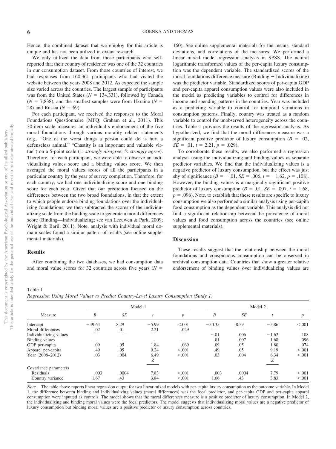Hence, the combined dataset that we employ for this article is unique and has not been utilized in extant research.

We only utilized the data from those participants who selfreported that their country of residence was one of the 32 countries in our consumption dataset. From those countries of interest, we had responses from 160,361 participants who had visited the website between the years 2008 and 2012. As expected the sample size varied across the countries. The largest sample of participants was from the United States ( $N = 134,331$ ), followed by Canada  $(N = 7,838)$ , and the smallest samples were from Ukraine  $(N = 1,838)$ 28) and Russia  $(N = 69)$ .

For each participant, we received the responses to the Moral Foundations Questionnaire (MFQ; Graham et al., 2011). This 30-item scale measures an individual's endorsement of the five moral foundations through various morality related statements (e.g., "One of the worst things a person could do is hurt a defenseless animal," "Chastity is an important and valuable virtue") on a 5-point scale (1: *strongly disagree*; 5: *strongly agree*). Therefore, for each participant, we were able to observe an individualizing values score and a binding values score. We then averaged the moral values scores of all the participants in a particular country by the year of survey completion. Therefore, for each country, we had one individualizing score and one binding score for each year. Given that our prediction focused on the differences between the two broad foundations, in that the extent to which people endorse binding foundations over the individualizing foundations, we then subtracted the scores of the individualizing scale from the binding scale to generate a moral differences score (Binding—Individualizing; see van Leeuwen & Park, 2009; Wright & Baril, 2011). Note, analysis with individual moral domain scales found a similar pattern of results (see [online supple](http://dx.doi.org/10.1037/pspp0000237.supp)[mental materials\)](http://dx.doi.org/10.1037/pspp0000237.supp).

#### **Results**

After combining the two databases, we had consumption data and moral value scores for 32 countries across five years  $(N =$ 

160). See [online supplemental materials](http://dx.doi.org/10.1037/pspp0000237.supp) for the means, standard deviations, and correlations of the measures. We performed a linear mixed model regression analysis in SPSS. The natural logarithmic transformed values of the per-capita luxury consumption was the dependent variable. The standardized scores of the moral foundations difference measure (Binding  $-$  Individualizing) was the predictor variable. Standardized scores of per-capita GDP and per-capita apparel consumption values were also included in the model as predicting variables to control for differences in income and spending patterns in the countries. Year was included as a predicting variable to control for temporal variations in consumption patterns. Finally, country was treated as a random variable to control for unobserved heterogeneity across the countries. Table 1 provides the results of the regression analysis. As hypothesized, we find that the moral differences measure was a significant positive predictor of luxury consumption  $(B = .02, )$  $SE = .01$ ,  $t = 2.21$ ,  $p = .029$ ).

To corroborate these results, we also performed a regression analysis using the individualizing and binding values as separate predictor variables. We find that the individualizing values is a negative predictor of luxury consumption, but the effect was just shy of significance  $(B = -.01, SE = .006, t = -1.62, p = .108)$ . However, the binding values is a marginally significant positive predictor of luxury consumption ( $B = .01$ ,  $SE = .007$ ,  $t = 1.68$ ,  $p = 0.096$ ). Note, to establish that these results are specific to luxury consumption we also performed a similar analysis using per-capita food consumption as the dependent variable. This analysis did not find a significant relationship between the prevalence of moral values and food consumption across the countries (see [online](http://dx.doi.org/10.1037/pspp0000237.supp) [supplemental materials\)](http://dx.doi.org/10.1037/pspp0000237.supp).

#### **Discussion**

These results suggest that the relationship between the moral foundations and conspicuous consumption can be observed in archival consumption data. Countries that show a greater relative endorsement of binding values over individualizing values are

#### Table 1

*Regression Using Moral Values to Predict Country-Level Luxury Consumption (Study 1)*

| Measure                |          |           | Model 1 |                  | Model 2  |           |         |           |  |  |
|------------------------|----------|-----------|---------|------------------|----------|-----------|---------|-----------|--|--|
|                        | B        | <b>SE</b> |         | $\boldsymbol{p}$ | B        | <b>SE</b> |         | $p_{\rm}$ |  |  |
| Intercept              | $-49.64$ | 8.29      | $-5.99$ | < 0.001          | $-50.35$ | 8.59      | $-5.86$ | < .001    |  |  |
| Moral differences      | .02      | .01       | 2.21    | .029             |          |           |         |           |  |  |
| Individualizing values |          |           |         |                  | $-.01$   | .006      | $-1.62$ | .108      |  |  |
| Binding values         |          |           |         |                  | .01      | .007      | 1.68    | .096      |  |  |
| GDP per-capita         | .09      | .05       | 1.84    | .069             | .09      | .05       | 1.80    | .074      |  |  |
| Apparel per-capita     | .49      | .05       | 9.24    | < 0.001          | .49      | .05       | 9.19    | < 0.001   |  |  |
| Year (2008–2012)       | .03      | .004      | 6.49    | < 0.001          | .03      | .004      | 6.34    | < 0.001   |  |  |
|                        |          |           | Z       |                  |          |           | Z       |           |  |  |
| Covariance parameters  |          |           |         |                  |          |           |         |           |  |  |
| Residuals              | .003     | .0004     | 7.83    | < 0.001          | .003     | .0004     | 7.79    | < 0.001   |  |  |
| Country variance       | 1.67     | .43       | 3.84    | < 0.001          | 1.66     | .43       | 3.83    | < 0.001   |  |  |

*Note.* The table above reports linear regression output for two linear mixed models with per-capita luxury consumption as the outcome variable. In Model 1, the difference between binding and individualizing values (moral differences) was the focal predictor, and per-capita GDP and per-capita apparel consumption were inputted as controls. The model shows that the moral differences measure is a positive predictor of luxury consumption. In Model 2, the individualizing and binding moral values were the focal predictors. The model suggests that individualizing moral values are a negative predictor of luxury consumption but binding moral values are a positive predictor of luxury consumption across countries.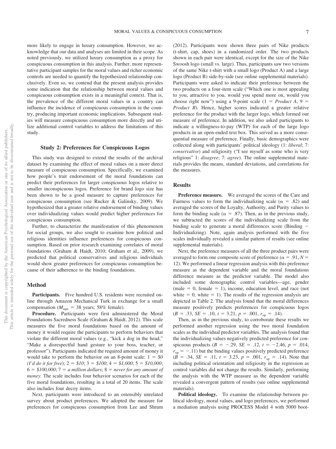more likely to engage in luxury consumption. However, we acknowledge that our data and analyses are limited in their scope. As noted previously, we utilized luxury consumption as a proxy for conspicuous consumption in this analysis. Further, more representative participant samples for the moral values and richer economic controls are needed to quantify the hypothesized relationship conclusively. Even so, we contend that the present analysis provides some indication that the relationship between moral values and conspicuous consumption exists in a meaningful context. That is, the prevalence of the different moral values in a country can influence the incidence of conspicuous consumption in the country, producing important economic implications. Subsequent studies will measure conspicuous consumption more directly and utilize additional control variables to address the limitations of this study.

#### **Study 2: Preferences for Conspicuous Logos**

This study was designed to extend the results of the archival dataset by examining the effect of moral values on a more direct measure of conspicuous consumption. Specifically, we examined how people's trait endorsement of the moral foundations can predict their preferences for larger conspicuous logos relative to smaller inconspicuous logos. Preference for brand logo size has been shown to be a good measure to capture preferences for conspicuous consumption (see [Rucker & Galinsky, 2009\)](#page-21-0). We hypothesized that a greater relative endorsement of binding values over individualizing values would predict higher preferences for conspicuous consumption.

Further, to characterize the manifestation of this phenomenon for social groups, we also sought to examine how political and religious identities influence preferences for conspicuous consumption. Based on prior research examining correlates of moral foundations (Graham & Haidt, 2010; Graham et al., 2009), we predicted that political conservatives and religious individuals would show greater preferences for conspicuous consumption because of their adherence to the binding foundations.

#### **Method**

Participants. Five hundred U.S. residents were recruited online through Amazon Mechanical Turk in exchange for a small compensation ( $M_{\text{age}} = 38$  years; 58% female).

**Procedure.** Participants were first administered the Moral Foundations Sacredness Scale (Graham & Haidt, 2012). This scale measures the five moral foundations based on the amount of money it would require the participants to perform behaviors that violate the different moral values (e.g., "kick a dog in the head," "Make a disrespectful hand gesture to your boss, teacher, or professor"). Participants indicated the required amount of money it would take to perform the behavior on an 8-point scale:  $1 = $0$  $(I'd do it for free); 2 = $10; 3 = $100; 4 = $1,000; 5 = $10,000;$  $6 = $100,000; 7 = a$  million dollars;  $8 =$  never for any amount of *money*. The scale includes four behavior scenarios for each of the five moral foundations, resulting in a total of 20 items. The scale also includes four decoy items.

Next, participants were introduced to an ostensibly unrelated survey about product preferences. We adopted the measure for preferences for conspicuous consumption from Lee and Shrum

(2012). Participants were shown three pairs of Nike products (t-shirt, cap, shoes) in a randomized order. The two products shown in each pair were identical, except for the size of the Nike Swoosh logo (small vs. large). Thus, participants saw two versions of the same Nike t-shirt with a small logo (Product A) and a large logo (Product B) side-by-side (see [online supplemental materials\)](http://dx.doi.org/10.1037/pspp0000237.supp). Participants were asked to indicate their preference between the two products on a four-item scale ("Which one is most appealing to you, attractive to you, would you spend more on, would you choose right now") using a 9-point scale  $(1 = Product A, 9 = 1)$ *Product B*). Hence, higher scores indicated a greater relative preference for the product with the larger logo, which formed our measure of preference. In addition, we also asked participants to indicate a willingness-to-pay (WTP) for each of the large logo products in an open-ended text box. This served as a more consequential measure of preference. Finally, basic demographics were collected along with participants' political ideology (1: *liberal*; 7: *conservative*) and religiosity ("I see myself as some who is very religious" 1: *disagree*; 7: *agree*). The [online supplemental mate](http://dx.doi.org/10.1037/pspp0000237.supp)[rials](http://dx.doi.org/10.1037/pspp0000237.supp) provides the means, standard deviations, and correlations for the measures.

#### **Results**

**Preference measure.** We averaged the scores of the Care and Fairness values to form the individualizing scale ( $\alpha = .82$ ) and averaged the scores of the Loyalty, Authority, and Purity values to form the binding scale ( $\alpha = .87$ ). Then, as in the previous study, we subtracted the scores of the individualizing scale from the binding scale to generate a moral differences score (Binding  $-$ Individualizing). Note, again analysis performed with the five scales individually revealed a similar pattern of results (see [online](http://dx.doi.org/10.1037/pspp0000237.supp) [supplemental materials\)](http://dx.doi.org/10.1037/pspp0000237.supp).

Next, the preference measures of all the three product pairs were averaged to form one composite score of preference ( $\alpha = .91, N =$ 12). We performed a linear regression analysis with this preference measure as the dependent variable and the moral foundations difference measure as the predictor variable. The model also included some demographic control variables—age, gender  $(male = 0, female = 1)$ , income, education level, and race (not white  $= 0$ , white  $= 1$ ). The results of the regression analysis are depicted in Table 2. The analysis found that the moral differences measure positively predicts preferences for conspicuous logos  $(B = .33, SE = .10, t = 3.21, p = .001, r<sub>sp</sub> = .14).$ 

Then, as in the previous study, to corroborate these results we performed another regression using the two moral foundation scales as the individual predictor variables. The analysis found that the individualizing values negatively predicted preference for conspicuous products  $(B = -.29, SE = .12, t = -2.46, p = .014,$  $r_{\rm sp} = -.11$ ) but the binding values positively predicted preference  $(B = .34, SE = .11, t = 3.23, p = .001, r<sub>sp</sub> = .14)$ . Note that including political orientation and religiosity in the regression as control variables did not change the results. Similarly, performing the analysis with the WTP measure as the dependent variable revealed a convergent pattern of results (see [online supplemental](http://dx.doi.org/10.1037/pspp0000237.supp) [materials\)](http://dx.doi.org/10.1037/pspp0000237.supp).

**Political ideology.** To examine the relationship between political ideology, moral values, and logo preferences, we performed a mediation analysis using PROCESS Model 4 with 5000 boot-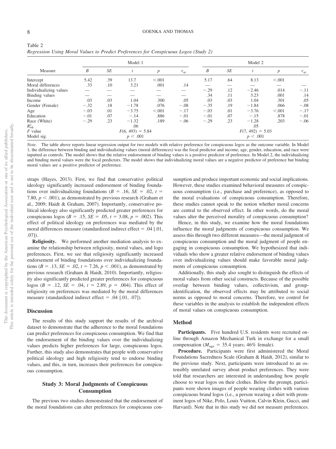| M | I<br>۰. |   |  |
|---|---------|---|--|
|   |         | ٦ |  |

Table 2

| Measure                |        | Model 1            |         | Model 2          |          |        |                    |         |                  |          |  |  |
|------------------------|--------|--------------------|---------|------------------|----------|--------|--------------------|---------|------------------|----------|--|--|
|                        | B      | SE                 |         | $\boldsymbol{p}$ | $r_{sp}$ | B      | SE                 |         | $\boldsymbol{p}$ | $r_{sp}$ |  |  |
| Intercept              | 5.42   | .39                | 13.7    | < 0.001          |          | 5.17   | .64                | 8.13    | < 0.001          |          |  |  |
| Moral differences      | .33    | .10                | 3.21    | .001             | .14      |        |                    |         |                  |          |  |  |
| Individualizing values |        |                    |         |                  |          | $-.29$ | .12                | $-2.46$ | .014             | $-.11$   |  |  |
| Binding values         |        |                    |         |                  |          | .34    | .11                | 3.23    | .001             | .14      |  |  |
| Income                 | .03    | .03                | 1.04    | .300             | .05      | .03    | .03                | 1.04    | .301             | .05      |  |  |
| Gender (Female)        | $-.32$ | .18                | $-1.78$ | .076             | $-.08$   | $-.35$ | .19                | $-1.84$ | .066             | $-.08$   |  |  |
| Age                    | $-.03$ | .01                | $-3.75$ | < 0.001          | $-.17$   | $-.03$ | .01                | $-3.76$ | < 0.001          | $-.17$   |  |  |
| Education              | $-.01$ | .07                | $-.14$  | .886             | $-.01$   | $-.01$ | .07                | $-.15$  | .878             | $-.01$   |  |  |
| Race (White)           | $-.29$ | .23                | $-1.32$ | .189             | $-.06$   | $-.29$ | .23                | $-1.28$ | .203             | $-.06$   |  |  |
| $R_{\rm adi}^2$        |        | .06                |         |                  |          |        | .05                |         |                  |          |  |  |
| $F$ value              |        | $F(6, 493) = 5.84$ |         |                  |          |        | $F(7, 492) = 5.03$ |         |                  |          |  |  |
| Model sig.             |        | p < .001           |         |                  |          |        | p < .001           |         |                  |          |  |  |

*Regression Using Moral Values to Predict Preferences for Conspicuous Logos (Study 2)*

*Note.* The table above reports linear regression output for two models with relative preference for conspicuous logos as the outcome variable. In Model 1, the difference between binding and individualizing values (moral differences) was the focal predictor and income, age, gender, education, and race were inputted as controls. The model shows that the relative endorsement of binding values is a positive predictor of preference. In Model 2, the individualizing and binding moral values were the focal predictors. The model shows that individualizing moral values are a negative predictor of preference but binding moral values are a positive predictor of preference.

straps (Hayes, 2013). First, we find that conservative political ideology significantly increased endorsement of binding foundations over individualizing foundations ( $B = .16$ ,  $SE = .02$ ,  $t =$ 7.80,  $p < .001$ ), as demonstrated by previous research (Graham et al., 2009; Haidt & Graham, 2007). Importantly, conservative political ideology also significantly predicted greater preferences for conspicuous logos ( $B = .15$ ,  $SE = .05$ ,  $t = 3.08$ ,  $p = .002$ ). This effect of political ideology on preferences was mediated by the moral differences measure (standardized indirect effect  $= .04$  [.01, .07]).

**Religiosity.** We performed another mediation analysis to examine the relationship between religiosity, moral values, and logo preferences. First, we see that religiosity significantly increased endorsement of binding foundations over individualizing foundations ( $B = .13$ ,  $SE = .02$ ,  $t = 7.26$ ,  $p < .001$ ), as demonstrated by previous research (Graham & Haidt, 2010). Importantly, religiosity also significantly predicted greater preferences for conspicuous logos ( $B = .12$ ,  $SE = .04$ ,  $t = 2.89$ ,  $p = .004$ ). This effect of religiosity on preferences was mediated by the moral differences measure (standardized indirect effect  $= .04$  [.01, .07]).

#### **Discussion**

The results of this study support the results of the archival dataset to demonstrate that the adherence to the moral foundations can predict preferences for conspicuous consumption. We find that the endorsement of the binding values over the individualizing values predicts higher preferences for large, conspicuous logos. Further, this study also demonstrates that people with conservative political ideology and high religiosity tend to endorse binding values, and this, in turn, increases their preferences for conspicuous consumption.

#### **Study 3: Moral Judgments of Conspicuous Consumption**

The previous two studies demonstrated that the endorsement of the moral foundations can alter preferences for conspicuous con-

sumption and produce important economic and social implications. However, these studies examined behavioral measures of conspicuous consumption (i.e., purchase and preference), as opposed to the moral evaluations of conspicuous consumption. Therefore, these studies cannot speak to the notion whether moral concerns are central to the observed effect. In other words, do the moral values alter the perceived morality of conspicuous consumption?

Hence, in this study, we examine how the moral foundations influence the moral judgments of conspicuous consumption. We assess this through two different measures—the moral judgment of conspicuous consumption and the moral judgment of people engaging in conspicuous consumption. We hypothesized that individuals who show a greater relative endorsement of binding values over individualizing values should make favorable moral judgments of conspicuous consumption.

Additionally, this study also sought to distinguish the effects of moral values from other social constructs. Because of the possible overlap between binding values, collectivism, and groupidentification, the observed effects may be attributed to social norms as opposed to moral concerns. Therefore, we control for these variables in the analysis to establish the independent effects of moral values on conspicuous consumption.

#### **Method**

Participants. Five hundred U.S. residents were recruited online through Amazon Mechanical Turk in exchange for a small compensation ( $M_{\text{age}} = 35.4$  years; 46% female).

**Procedure.** Participants were first administered the Moral Foundations Sacredness Scale (Graham & Haidt, 2012), similar to the previous study. Next, participants were introduced to an ostensibly unrelated survey about product preferences. They were told that researchers are interested in understanding how people choose to wear logos on their clothes. Below the prompt, participants were shown images of people wearing clothes with various conspicuous brand logos (i.e., a person wearing a shirt with prominent logos of Nike, Polo, Louis Vuitton, Calvin Klein, Gucci, and Harvard). Note that in this study we did not measure preferences.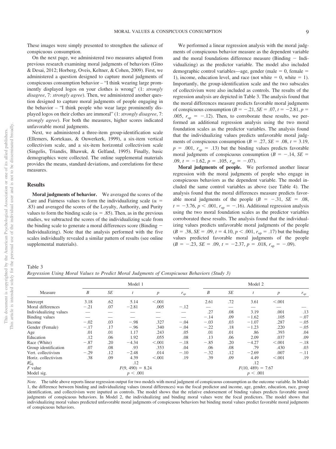These images were simply presented to strengthen the salience of conspicuous consumption.

On the next page, we administered two measures adapted from previous research examining moral judgments of behaviors (Gino & Desai, 2012; Horberg, Oveis, Keltner, & Cohen, 2009). First, we administered a question designed to capture moral judgments of conspicuous consumption behavior – "I think wearing large prominently displayed logos on your clothes is wrong" (1: *strongly disagree*, 7: *strongly agree*). Then, we administered another question designed to capture moral judgments of people engaging in the behavior – "I think people who wear large prominently displayed logos on their clothes are immoral" (1: *strongly disagree*, 7: *strongly agree*). For both the measures, higher scores indicated unfavorable moral judgments.

Next, we administered a three-item group-identification scale (Ellemers, Kortekaas, & Ouwerkerk, 1999), a six-item vertical collectivism scale, and a six-item horizontal collectivism scale (Singelis, Triandis, Bhawuk, & Gelfand, 1995). Finally, basic demographics were collected. The [online supplemental materials](http://dx.doi.org/10.1037/pspp0000237.supp) provides the means, standard deviations, and correlations for these measures.

#### **Results**

**Moral judgments of behavior.** We averaged the scores of the Care and Fairness values to form the individualizing scale ( $\alpha$  = .83) and averaged the scores of the Loyalty, Authority, and Purity values to form the binding scale ( $\alpha = .85$ ). Then, as in the previous studies, we subtracted the scores of the individualizing scale from the binding scale to generate a moral differences score (Binding Individualizing). Note that the analysis performed with the five scales individually revealed a similar pattern of results (see [online](http://dx.doi.org/10.1037/pspp0000237.supp) [supplemental materials\)](http://dx.doi.org/10.1037/pspp0000237.supp).

We performed a linear regression analysis with the moral judgments of conspicuous behavior measure as the dependent variable and the moral foundations difference measure (Binding  $-$  Individualizing) as the predictor variable. The model also included demographic control variables—age, gender (male  $= 0$ , female  $=$ 1), income, education level, and race (not white  $= 0$ , white  $= 1$ ). Importantly, the group-identification scale and the two subscales of collectivism were also included as controls. The results of the regression analysis are depicted in Table 3. The analysis found that the moral differences measure predicts favorable moral judgments of conspicuous consumption ( $B = -.21$ ,  $SE = .07$ ,  $t = -2.81$ ,  $p =$ .005,  $r_{\rm sp} = -.12$ ). Then, to corroborate these results, we performed an additional regression analysis using the two moral foundation scales as the predictor variables. The analysis found that the individualizing values predicts unfavorable moral judgments of conspicuous consumption ( $B = .27$ ,  $SE = .08$ ,  $t = 3.19$ ,  $p = .001$ ,  $r_{sp} = .13$ ) but the binding values predicts favorable moral judgments of conspicuous consumption ( $B = -.14$ ,  $SE =$  $.09, t = -1.62, p = .105, r<sub>sp</sub> = -.07$ .

**Moral judgments of people.** We performed another linear regression with the moral judgments of people who engage in conspicuous behaviors as the dependent variable. The model included the same control variables as above (see [Table 4\)](#page-10-0). The analysis found that the moral differences measure predicts favorable moral judgments of the people  $(B = -.31, SE = .08,$  $t = -3.76$ ,  $p < .001$ ,  $r_{sp} = -.16$ ). Additional regression analysis using the two moral foundation scales as the predictor variables corroborated these results. The analysis found that the individualizing values predicts unfavorable moral judgments of the people  $(B = .38, SE = .09, t = 4.10, p < .001, r<sub>sp</sub> = .17)$  but the binding values predicted favorable moral judgments of the people  $(B = -.23, SE = .09, t = -2.37, p = .018, r<sub>sp</sub> = -.09).$ 

*Regression Using Moral Values to Predict Moral Judgments of Conspicuous Behaviors (Study 3)*

| Measure                |        | Model 1            |         | Model 2          |          |        |                     |          |                  |          |  |  |
|------------------------|--------|--------------------|---------|------------------|----------|--------|---------------------|----------|------------------|----------|--|--|
|                        | B      | SE                 |         | $\boldsymbol{p}$ | $r_{sp}$ | B      | SE                  |          | $\boldsymbol{p}$ | $r_{sp}$ |  |  |
| Intercept              | 3.18   | .62                | 5.14    | < 0.001          |          | 2.61   | .72                 | 3.61     | < 0.001          |          |  |  |
| Moral differences      | $-.21$ | .07                | $-2.81$ | .005             | $-.12$   |        |                     |          |                  |          |  |  |
| Individualizing values |        |                    |         |                  |          | .27    | .08                 | 3.19     | .001             | .13      |  |  |
| Binding values         |        |                    |         |                  |          | $-.14$ | .09                 | $-1.62$  | .105             | $-.07$   |  |  |
| Income                 | $-.02$ | .03                | $-.98$  | .327             | $-.04$   | $-.03$ | .03                 | $-1.07$  | .287             | $-.05$   |  |  |
| Gender (Female)        | $-.17$ | .17                | $-.96$  | .340             | $-.04$   | $-.22$ | .18                 | $-1.23$  | .220             | $-.05$   |  |  |
| Age                    | .01    | .01                | 1.17    | .243             | .05      | .01    | .01                 | .86      | .393             | .04      |  |  |
| Education              | .12    | .06                | 1.92    | .055             | .08      | .13    | .06                 | 2.09     | .037             | .09      |  |  |
| Race (White)           | $-.87$ | .20                | $-4.34$ | < 0.001          | $-.18$   | $-.85$ | .20                 | $-4.27$  | < 0.001          | $-.18$   |  |  |
| Group identification   | .07    | .08                | .93     | .353             | .04      | .06    | .08                 | .79      | .430             | .03      |  |  |
| Vert. collectivism     | $-.29$ | .12                | $-2.48$ | .014             | $-.10$   | $-.32$ | .12                 | $-2.69$  | .007             | $-.11$   |  |  |
| Horiz. collectivism    | .38    | .09                | 4.39    | < .001           | .19      | .39    | .09                 | 4.49     | < 0.001          | .19      |  |  |
| $R_{\rm adj}^2$        |        |                    | .12     |                  |          | .12    |                     |          |                  |          |  |  |
| $F$ value              |        | $F(9, 490) = 8.24$ |         |                  |          |        | $F(10, 489) = 7.67$ |          |                  |          |  |  |
| Model sig.             |        | p < .001           |         |                  |          |        |                     | p < .001 |                  |          |  |  |

*Note.* The table above reports linear regression output for two models with moral judgment of conspicuous consumption as the outcome variable. In Model 1, the difference between binding and individualizing values (moral differences) was the focal predictor and income, age, gender, education, race, group identification, and collectivism were inputted as controls. The model shows that the relative endorsement of binding values predicts favorable moral judgments of conspicuous behaviors. In Model 2, the individualizing and binding moral values were the focal predictors. The model shows that individualizing moral values predicted unfavorable moral judgments of conspicuous behaviors but binding moral values predict favorable moral judgments of conspicuous behaviors.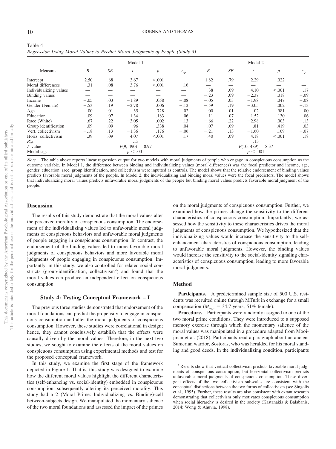<span id="page-10-0"></span>

| Table 4 |                                                                              |  |
|---------|------------------------------------------------------------------------------|--|
|         | Regression Using Moral Values to Predict Moral Judgments of People (Study 3) |  |

| Measure                |        | Model 1            |          | Model 2          |          |        |                     |          |                  |          |  |  |
|------------------------|--------|--------------------|----------|------------------|----------|--------|---------------------|----------|------------------|----------|--|--|
|                        | B      | <b>SE</b>          |          | $\boldsymbol{p}$ | $r_{sp}$ | B      | <b>SE</b>           |          | $\boldsymbol{p}$ | $r_{sp}$ |  |  |
| Intercept              | 2.50   | .68                | 3.67     | < 0.001          |          | 1.82   | .79                 | 2.29     | .022             |          |  |  |
| Moral differences      | $-.31$ | .08                | $-3.76$  | < 0.001          | $-.16$   |        |                     |          |                  |          |  |  |
| Individualizing values |        |                    |          |                  |          | .38    | .09                 | 4.10     | < 0.001          | .17      |  |  |
| Binding values         |        |                    |          |                  |          | $-.23$ | .09                 | $-2.37$  | .018             | $-.09$   |  |  |
| Income                 | $-.05$ | .03                | $-1.89$  | .058             | $-.08$   | $-.05$ | .03                 | $-1.98$  | .047             | $-.08$   |  |  |
| Gender (Female)        | $-.53$ | .19                | $-2.78$  | .006             | $-.12$   | $-.59$ | .19                 | $-3.05$  | .002             | $-.13$   |  |  |
| Age                    | .00    | .01                | .35      | .728             | .02      | .00    | .01                 | .02      | .981             | .00      |  |  |
| Education              | .09    | .07                | 1.34     | .183             | .06      | .11    | .07                 | 1.52     | .130             | .06      |  |  |
| Race (White)           | $-.67$ | .22                | $-3.05$  | .002             | $-.13$   | $-.66$ | .22                 | $-2.98$  | .003             | $-.13$   |  |  |
| Group identification   | .09    | .09                | .96      | .338             | .04      | .07    | .09                 | .81      | .419             | .03      |  |  |
| Vert. collectivism     | $-.18$ | .13                | $-1.36$  | .176             | $-.06$   | $-.21$ | .13                 | $-1.60$  | .109             | $-.07$   |  |  |
| Horiz. collectivism    | .39    | .09                | 4.07     | < 0.001          | .17      | .40    | .09                 | 4.18     | < 0.001          | .18      |  |  |
| $R_{\rm adi}^2$        |        |                    | .13      |                  |          | .13    |                     |          |                  |          |  |  |
| $F$ value              |        | $F(9, 490) = 8.97$ |          |                  |          |        | $F(10, 489) = 8.37$ |          |                  |          |  |  |
| Model sig.             |        |                    | p < .001 |                  |          |        |                     | p < .001 |                  |          |  |  |

*Note.* The table above reports linear regression output for two models with moral judgments of people who engage in conspicuous consumption as the outcome variable. In Model 1, the difference between binding and individualizing values (moral differences) was the focal predictor and income, age, gender, education, race, group identification, and collectivism were inputted as controls. The model shows that the relative endorsement of binding values predicts favorable moral judgments of the people. In Model 2, the individualizing and binding moral values were the focal predictors. The model shows that individualizing moral values predicts unfavorable moral judgments of the people but binding moral values predicts favorable moral judgment of the people.

#### **Discussion**

The results of this study demonstrate that the moral values alter the perceived morality of conspicuous consumption. The endorsement of the individualizing values led to unfavorable moral judgments of conspicuous behaviors and unfavorable moral judgments of people engaging in conspicuous consumption. In contrast, the endorsement of the binding values led to more favorable moral judgments of conspicuous behaviors and more favorable moral judgments of people engaging in conspicuous consumption. Importantly, in this study, we also controlled for related social constructs (group-identification, collectivism<sup>2</sup>) and found that the moral values can produce an independent effect on conspicuous consumption.

#### **Study 4: Testing Conceptual Framework – I**

The previous three studies demonstrated that endorsement of the moral foundations can predict the propensity to engage in conspicuous consumption and alter the moral judgments of conspicuous consumption. However, these studies were correlational in design; hence, they cannot conclusively establish that the effects were causally driven by the moral values. Therefore, in the next two studies, we sought to examine the effects of the moral values on conspicuous consumption using experimental methods and test for the proposed conceptual framework.

In this study, we examine the first stage of the framework depicted in Figure 1. That is, this study was designed to examine how the different moral values highlight the different characteristics (self-enhancing vs. social-identity) embedded in conspicuous consumption, subsequently altering its perceived morality. This study had a 2 (Moral Prime: Individualizing vs. Binding)-cell between-subjects design. We manipulated the momentary salience of the two moral foundations and assessed the impact of the primes on the moral judgments of conspicuous consumption. Further, we examined how the primes change the sensitivity to the different characteristics of conspicuous consumption. Importantly, we assessed how the sensitivity to these characteristics drives the moral judgments of conspicuous consumption. We hypothesized that the individualizing values would increase the sensitivity to the selfenhancement characteristics of conspicuous consumption, leading to unfavorable moral judgments. However, the binding values would increase the sensitivity to the social-identity signaling characteristics of conspicuous consumption, leading to more favorable moral judgments.

#### **Method**

Participants. A predetermined sample size of 500 U.S. residents was recruited online through MTurk in exchange for a small compensation ( $M_{\text{age}} = 34.7$  years; 51% female).

**Procedure.** Participants were randomly assigned to one of the two moral prime conditions. They were introduced to a supposed memory exercise through which the momentary salience of the moral values was manipulated in a procedure adapted from Mooijman et al. (2018). Participants read a paragraph about an ancient Sumerian warrior, Sostoras, who was heralded for his moral standing and good deeds. In the individualizing condition, participants

<sup>&</sup>lt;sup>2</sup> Results show that vertical collectivism predicts favorable moral judgments of conspicuous consumption, but horizontal collectivism predicts unfavorable moral judgments of conspicuous consumption. These divergent effects of the two collectivism subscales are consistent with the conceptual distinctions between the two forms of collectivism (see Singelis et al., 1995). Further, these results are also consistent with extant research demonstrating that collectivism only motivates conspicuous consumption when social hierarchy is desired in the society (Kastanakis & Balabanis, 2014; Wong & Ahuvia, 1998).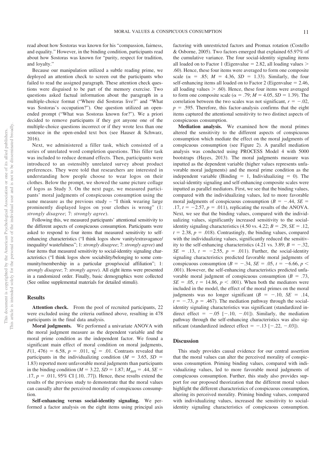read about how Sostoras was known for his "compassion, fairness, and equality." However, in the binding condition, participants read about how Sostoras was known for "purity, respect for tradition, and loyalty."

Because our manipulation utilized a subtle reading prime, we deployed an attention check to screen out the participants who failed to read the assigned paragraph. These attention check questions were disguised to be part of the memory exercise. Two questions asked factual information about the paragraph in a multiple-choice format ("Where did Sostoras live?" and "What was Sostoras's occupation?"). One question utilized an openended prompt ("What was Sostoras known for?"). We a priori decided to remove participants if they got anyone one of the multiple-choice questions incorrect or if they wrote less than one sentence in the open-ended text box (see Hauser & Schwarz, 2016).

Next, we administered a filler task, which consisted of a series of unrelated word completion questions. This filler task was included to reduce demand effects. Then, participants were introduced to an ostensibly unrelated survey about product preferences. They were told that researchers are interested in understanding how people choose to wear logos on their clothes. Below the prompt, we showed the same picture collage of logos as Study 3. On the next page, we measured participants' moral judgments of conspicuous consumption using the same measure as the previous study – "I think wearing large prominently displayed logos on your clothes is wrong" (1: *strongly disagree*; 7: *strongly agree*).

Following this, we measured participants' attentional sensitivity to the different aspects of conspicuous consumption. Participants were asked to respond to four items that measured sensitivity to selfenhancing characteristics ("I think logos show vanity/extravagance/ inequality/ wastefulness"; 1: *strongly disagree*; 7: *strongly agree*) and four items that measured sensitivity to social-identity signaling characteristics ("I think logos show sociability/belonging to some community/membership in a particular group/social affiliation"; 1: *strongly disagree*; 7: *strongly agree*). All eight items were presented in a randomized order. Finally, basic demographics were collected (See [online supplemental materials](http://dx.doi.org/10.1037/pspp0000237.supp) for detailed stimuli).

#### **Results**

Attention check. From the pool of recruited participants, 22 were excluded using the criteria outlined above, resulting in 478 participants in the final data analysis.

**Moral judgments.** We performed a univariate ANOVA with the moral judgment measure as the dependent variable and the moral prime condition as the independent factor. We found a significant main effect of moral condition on moral judgments,  $F(1, 476) = 6.58$ ,  $p = .011$ ,  $\eta_p^2 = .01$ . Contrasts revealed that participants in the individualizing condition ( $M = 3.65$ ,  $SD =$ 1.83) reported more unfavorable moral judgments than participants in the binding condition ( $M = 3.22$ ,  $SD = 1.87$ ;  $M_{\text{diff}} = .44$ ,  $SE =$  $.17, p = .011, 95\% \text{ CI}$  [.10, .77]). Hence, these results extend the results of the previous study to demonstrate that the moral values can causally alter the perceived morality of conspicuous consumption.

**Self-enhancing versus social-identity signaling.** We performed a factor analysis on the eight items using principal axis

factoring with unrestricted factors and Promax rotation (Costello & Osborne, 2005). Two factors emerged that explained 65.97% of the cumulative variance. The four social-identity signaling items all loaded on to Factor 1 (Eigenvalue  $= 2.82$ , all loading values  $>$ .60). Hence, these four items were averaged to form one composite scale ( $\alpha$  = .85; *M* = 4.36, *SD* = 1.33). Similarly, the four self-enhancing items all loaded on to Factor 2 (Eigenvalue  $= 2.46$ , all loading values  $> .60$ ). Hence, these four items were averaged to form one composite scale ( $\alpha = .79$ ;  $M = 4.05$ ,  $SD = 1.39$ ). The correlation between the two scales was not significant,  $r = -.02$ ,  $p = 0.595$ . Therefore, this factor-analysis confirms that the eight items captured the attentional sensitivity to two distinct aspects of conspicuous consumption.

**Mediation analysis.** We examined how the moral primes altered the sensitivity to the different aspects of conspicuous consumption which mediate the effect on the moral judgments of conspicuous consumption (see Figure 2). A parallel mediation analysis was conducted using PROCESS Model 4 with 5000 bootstraps (Hayes, 2013). The moral judgments measure was inputted as the dependent variable (higher values represents unfavorable moral judgments) and the moral prime condition as the independent variable (Binding  $= 1$ , Individualizing  $= 0$ ). The social-identity signaling and self-enhancing composite scales were inputted as parallel mediators. First, we see that the binding values, compared with the individualizing values, led to more favorable moral judgments of conspicuous consumption ( $B = -.44$ ,  $SE =$  $.17, t = -2.57, p = .011$ , replicating the results of the ANOVA. Next, we see that the binding values, compared with the individualizing values, significantly increased sensitivity to the socialidentity signaling characteristics  $(4.50 \text{ vs. } 4.22; B = .29, SE = .12)$ ,  $t = 2.38$ ,  $p = .018$ ). Contrastingly, the binding values, compared with the individualizing values, significantly reduced the sensitivity to the self-enhancing characteristics  $(4.21 \text{ vs. } 3.89; B = -.32,$  $SE = .13$ ,  $t = -2.55$ ,  $p = .011$ ). Further, the social-identity signaling characteristics predicted favorable moral judgments of conspicuous consumption (*B* = -.34, *SE* = .05, *t* = -6.66, *p* < .001). However, the self-enhancing characteristics predicted unfavorable moral judgment of conspicuous consumption ( $B = .73$ ,  $SE = .05$ ,  $t = 14.86$ ,  $p < .001$ ). When both the mediators were included in the model, the effect of the moral primes on the moral judgments was no longer significant  $(B = -.10, SE = .14,$  $t = -.73$ ,  $p = .467$ ). The mediation pathway through the socialidentity signaling characteristics was significant (standardized indirect effect  $= -0.05$  [ $-.10, -.01$ ]). Similarly, the mediation pathway through the self-enhancing characteristics was also significant (standardized indirect effect  $= -.13$   $[-.22, -.03]$ ).

#### **Discussion**

This study provides causal evidence for our central assertion that the moral values can alter the perceived morality of conspicuous consumption. Priming binding values, compared with individualizing values, led to more favorable moral judgments of conspicuous consumption. Further, this study also provides support for our proposed theorization that the different moral values highlight the different characteristics of conspicuous consumption, altering its perceived morality. Priming binding values, compared with individualizing values, increased the sensitivity to socialidentity signaling characteristics of conspicuous consumption.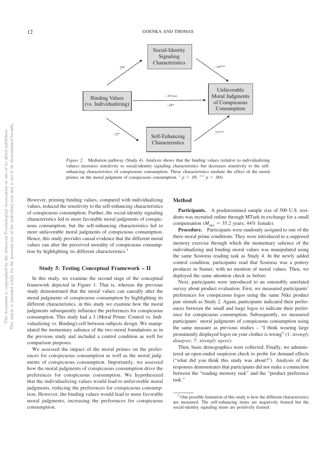

*Figure 2.* Mediation pathway (Study 4). Analysis shows that the binding values (relative to individualizing values) increases sensitivity to social-identity signaling characteristics but decreases sensitivity to the selfenhancing characteristics of conspicuous consumption. These characteristics mediate the effect of the moral primes on the moral judgment of conspicuous consumption.  $p < .05$ . \*\*\*  $p < .001$ .

However, priming binding values, compared with individualizing values, reduced the sensitivity to the self-enhancing characteristics of conspicuous consumption. Further, the social-identity signaling characteristics led to more favorable moral judgments of conspicuous consumption, but the self-enhancing characteristics led to more unfavorable moral judgments of conspicuous consumption. Hence, this study provides causal evidence that the different moral values can alter the perceived morality of conspicuous consumption by highlighting its different characteristics.<sup>3</sup>

#### **Study 5: Testing Conceptual Framework – II**

In this study, we examine the second stage of the conceptual framework depicted in Figure 1. That is, whereas the previous study demonstrated that the moral values can causally alter the moral judgments of conspicuous consumption by highlighting its different characteristics, in this study we examine how the moral judgments subsequently influence the preferences for conspicuous consumption. This study had a 3 (Moral Prime: Control vs. Individualizing vs. Binding)-cell between-subjects design. We manipulated the momentary salience of the two moral foundations as in the previous study and included a control condition as well for comparison purposes.

We assessed the impact of the moral primes on the preferences for conspicuous consumption as well as the moral judgments of conspicuous consumption. Importantly, we assessed how the moral judgments of conspicuous consumption drive the preferences for conspicuous consumption. We hypothesized that the individualizing values would lead to unfavorable moral judgments, reducing the preferences for conspicuous consumption. However, the binding values would lead to more favorable moral judgments, increasing the preferences for conspicuous consumption.

#### **Method**

**Participants.** A predetermined sample size of 500 U.S. residents was recruited online through MTurk in exchange for a small compensation ( $M_{\text{age}} = 35.2$  years; 44% female).

**Procedure.** Participants were randomly assigned to one of the three moral prime conditions. They were introduced to a supposed memory exercise through which the momentary salience of the individualizing and binding moral values was manipulated using the same Sostoras reading task as Study 4. In the newly added control condition, participants read that Sostoras was a pottery producer in Sumer, with no mention of moral values. Then, we deployed the same attention check as before.

Next, participants were introduced to an ostensibly unrelated survey about product evaluation. First, we measured participants' preferences for conspicuous logos using the same Nike product pair stimuli as Study 2. Again, participants indicated their preferences between the small and large logos to indicate their preference for conspicuous consumption. Subsequently, we measured participants' moral judgments of conspicuous consumption using the same measure as previous studies – "I think wearing large prominently displayed logos on your clothes is wrong" (1: *strongly disagree*; 7: *strongly agree*).

Then, basic demographics were collected. Finally, we administered an open-ended suspicion check to probe for demand effects ("what did you think this study was about?"). Analysis of the responses demonstrates that participants did not make a connection between the "reading memory task" and the "product preference task."

<sup>&</sup>lt;sup>3</sup> One possible limitation of this study is how the different characteristics are measured. The self-enhancing items are negatively framed but the social-identity signaling items are positively framed.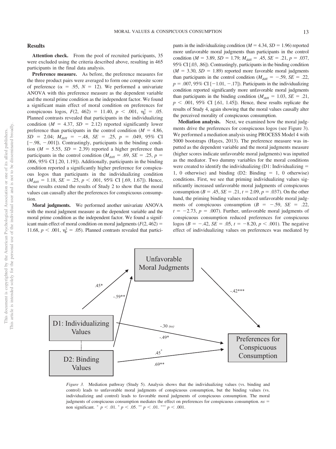#### **Results**

Attention check. From the pool of recruited participants, 35 were excluded using the criteria described above, resulting in 465 participants in the final data analysis.

**Preference measure.** As before, the preference measures for the three product pairs were averaged to form one composite score of preference ( $\alpha$  = .95,  $N = 12$ ). We performed a univariate ANOVA with this preference measure as the dependent variable and the moral prime condition as the independent factor. We found a significant main effect of moral condition on preferences for conspicuous logos,  $F(2, 462) = 11.40, p < .001, \eta_p^2 = .05$ . Planned contrasts revealed that participants in the individualizing condition ( $M = 4.37$ ,  $SD = 2.12$ ) reported significantly lower preference than participants in the control condition  $(M = 4.86,$  $SD = 2.04$ ;  $M_{\text{diff}} = -.48$ ,  $SE = .25$ ,  $p = .049$ , 95% CI  $[-.98, -0.01]$ ). Contrastingly, participants in the binding condition ( $M = 5.55$ ,  $SD = 2.39$ ) reported a higher preference than participants in the control condition ( $M_{\text{diff}}$  = .69, *SE* = .25, *p* = .006, 95% CI [.20, 1.19]). Additionally, participants in the binding condition reported a significantly higher preference for conspicuous logos than participants in the individualizing condition  $(M_{\text{diff}} = 1.18, \, SE = .25, \, p < .001, \, 95\% \, \text{CI} \, [0.69, \, 1.67]$ . Hence, these results extend the results of Study 2 to show that the moral values can causally alter the preferences for conspicuous consumption.

**Moral judgments.** We performed another univariate ANOVA with the moral judgment measure as the dependent variable and the moral prime condition as the independent factor. We found a significant main effect of moral condition on moral judgments  $(F(2, 462) =$ 11.68,  $p < .001$ ,  $\eta_p^2 = .05$ ). Planned contrasts revealed that partici-

pants in the individualizing condition  $(M = 4.34, SD = 1.96)$  reported more unfavorable moral judgments than participants in the control condition (*M* = 3.89, *SD* = 1.79;  $M_{\text{diff}}$  = .45, *SE* = .21, *p* = .037, 95% CI [.03, .86]). Contrastingly, participants in the binding condition  $(M = 3.30, SD = 1.89)$  reported more favorable moral judgments than participants in the control condition ( $M_{\text{diff}} = -.59$ , *SE* = .22,  $p = .007, 95\% \text{ CI} [-1.01, -.17]$ ). Participants in the individualizing condition reported significantly more unfavorable moral judgments than participants in the binding condition ( $M_{\text{diff}} = 1.03$ , *SE* = .21,  $p \leq .001$ , 95% CI [.61, 1.45]). Hence, these results replicate the results of Study 4, again showing that the moral values causally alter the perceived morality of conspicuous consumption.

**Mediation analysis.** Next, we examined how the moral judgments drive the preferences for conspicuous logos (see Figure 3). We performed a mediation analysis using PROCESS Model 4 with 5000 bootstraps (Hayes, 2013). The preference measure was inputted as the dependent variable and the moral judgments measure (higher scores indicate unfavorable moral judgments) was inputted as the mediator. Two dummy variables for the moral conditions were created to identify the individualizing  $(D1:$  Individualizing  $=$ 1, 0 otherwise) and binding  $(D2: Binding = 1, 0$  otherwise) conditions. First, we see that priming individualizing values significantly increased unfavorable moral judgments of conspicuous consumption ( $B = .45$ ,  $SE = .21$ ,  $t = 2.09$ ,  $p = .037$ ). On the other hand, the priming binding values reduced unfavorable moral judgments of conspicuous consumption  $(B = -.59, SE = .22,$  $t = -2.73$ ,  $p = .007$ ). Further, unfavorable moral judgments of conspicuous consumption reduced preferences for conspicuous logos ( $B = -.42$ ,  $SE = .05$ ,  $t = -8.20$ ,  $p < .001$ ). The negative effect of individualizing values on preferences was mediated by



*Figure 3.* Mediation pathway (Study 5). Analysis shows that the individualizing values (vs. binding and control) leads to unfavorable moral judgments of conspicuous consumption, but the binding values (vs. individualizing and control) leads to favorable moral judgments of conspicuous consumption. The moral judgments of conspicuous consumption mediates the effect on preferences for conspicuous consumption. *ns* non significant.  $^+ p < .01$ .  $^* p < .05$ .  $^{**} p < .01$ .  $^{***} p < .001$ .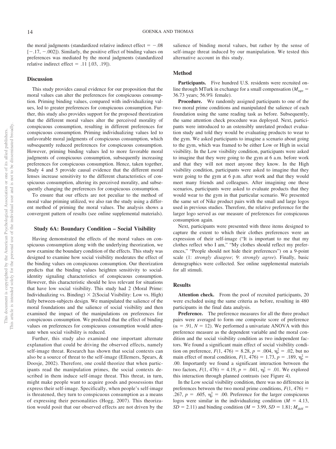the moral judgments (standardized relative indirect effect  $= -0.08$  $[-.17, -.002]$ ). Similarly, the positive effect of binding values on preferences was mediated by the moral judgments (standardized relative indirect effect  $= .11$  [.03, .19]).

#### **Discussion**

This study provides causal evidence for our proposition that the moral values can alter the preferences for conspicuous consumption. Priming binding values, compared with individualizing values, led to greater preferences for conspicuous consumption. Further, this study also provides support for the proposed theorization that the different moral values alter the perceived morality of conspicuous consumption, resulting in different preferences for conspicuous consumption. Priming individualizing values led to unfavorable moral judgments of conspicuous consumption, which subsequently reduced preferences for conspicuous consumption. However, priming binding values led to more favorable moral judgments of conspicuous consumption, subsequently increasing preferences for conspicuous consumption. Hence, taken together, Study 4 and 5 provide causal evidence that the different moral lenses increase sensitivity to the different characteristics of conspicuous consumption, altering its perceived morality, and subsequently changing the preferences for conspicuous consumption.

To ensure that our effects are not peculiar to the method of moral value priming utilized, we also ran the study using a different method of priming the moral values. The analysis shows a convergent pattern of results (see [online supplemental materials\)](http://dx.doi.org/10.1037/pspp0000237.supp).

#### **Study 6A: Boundary Condition – Social Visibility**

Having demonstrated the effects of the moral values on conspicuous consumption along with the underlying theorization, we now examine the boundary condition of the effects. This study was designed to examine how social visibility moderates the effect of the binding values on conspicuous consumption. Our theorization predicts that the binding values heighten sensitivity to socialidentity signaling characteristics of conspicuous consumption. However, this characteristic should be less relevant for situations that have low social visibility. This study had 2 (Moral Prime: Individualizing vs. Binding)  $\times$  2(Social Visibility: Low vs. High) fully between-subjects design. We manipulated the salience of the moral foundations and the salience of social visibility and then examined the impact of the manipulations on preferences for conspicuous consumption. We predicted that the effect of binding values on preferences for conspicuous consumption would attenuate when social visibility is reduced.

Further, this study also examined one important alternate explanation that could be driving the observed effects, namely self-image threat. Research has shown that social contexts can also be a source of threat to the self-image (Ellemers, Spears, & Doosje, 2002). Therefore, one could theorize that when participants read the manipulation primes, the social contexts described in them induce self-image threat. This threat, in turn, might make people want to acquire goods and possessions that express their self-image. Specifically, when people's self-image is threatened, they turn to conspicuous consumption as a means of expressing their personalities (Hogg, 2007). This theorization would posit that our observed effects are not driven by the

salience of binding moral values, but rather by the sense of self-image threat induced by our manipulation. We tested this alternative account in this study.

#### **Method**

Participants. Five hundred U.S. residents were recruited online through MTurk in exchange for a small compensation ( $M_{\text{age}} =$ 36.73 years; 56.9% female).

**Procedure.** We randomly assigned participants to one of the two moral prime conditions and manipulated the salience of each foundation using the same reading task as before. Subsequently, the same attention check procedure was deployed. Next, participants were introduced to an ostensibly unrelated product evaluation study and told they would be evaluating products to wear to the gym. We asked participants to imagine a scenario about going to the gym, which was framed to be either Low or High in social visibility. In the Low visibility condition, participants were asked to imagine that they were going to the gym at 6 a.m. before work and that they will not meet anyone they know. In the High visibility condition, participants were asked to imagine that they were going to the gym at 6 p.m. after work and that they would meet many friends and colleagues. After imagining one these scenarios, participants were asked to evaluate products that they would wear to the gym in that particular scenario. We presented the same set of Nike product pairs with the small and large logos used in previous studies. Therefore, the relative preference for the larger logo served as our measure of preferences for conspicuous consumption again.

Next, participants were presented with three items designed to capture the extent to which their clothes preferences were an expression of their self-image ("It is important to me that my clothes reflect who I am," "My clothes should reflect my preferences," "People should not hide their preferences") on a 9-point scale (1: *strongly disagree*; 9: *strongly agree*). Finally, basic demographics were collected. See [online supplemental materials](http://dx.doi.org/10.1037/pspp0000237.supp) for all stimuli.

#### **Results**

Attention check. From the pool of recruited participants, 20 were excluded using the same criteria as before, resulting in 480 participants in the final data analysis.

**Preference.** The preference measures for all the three product pairs were averaged to form one composite score of preference  $(\alpha = .91, N = 12)$ . We performed a univariate ANOVA with this preference measure as the dependent variable and the moral condition and the social visibility condition as two independent factors. We found a significant main effect of social visibility condition on preference,  $F(1, 476) = 8.28$ ,  $p = .004$ ,  $\eta_p^2 = .02$ , but no main effect of moral condition,  $F(1, 476) = 1.73$ ,  $p = .189$ ,  $\eta_p^2 =$ .00. Importantly we found a significant interaction between the two factors,  $F(1, 476) = 4.19$ ,  $p = .041$ ,  $\eta_p^2 = .01$ . We explored this interaction through planned contrasts (see [Figure 4\)](#page-15-0).

In the Low social visibility condition, there was no difference in preferences between the two moral prime conditions,  $F(1, 476) =$ .267,  $p = .605$ ,  $\eta_p^2 = .00$ . Preference for the larger conspicuous logos were similar in the individualizing condition  $(M = 4.13,$  $SD = 2.11$ ) and binding condition (*M* = 3.99, *SD* = 1.81;  $M_{\text{diff}}$  =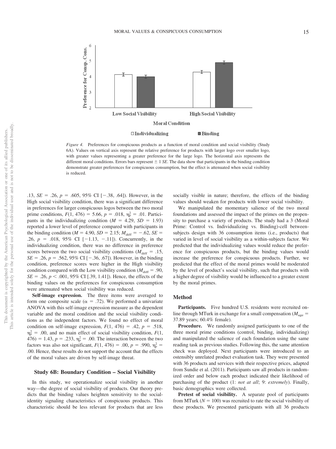

<span id="page-15-0"></span>*Figure 4.* Preferences for conspicuous products as a function of moral condition and social visibility (Study 6A). Values on vertical axis represent the relative preference for products with larger logo over smaller logo, with greater values representing a greater preference for the large logo. The horizontal axis represents the different moral conditions. Errors bars represent  $\pm 1$  *SE*. The data show that participants in the binding condition demonstrate greater preferences for conspicuous consumption, but the effect is attenuated when social visibility is reduced.

 $.13, SE = .26, p = .605, 95\% \text{ CI} [-.38, .64]$ . However, in the High social visibility condition, there was a significant difference in preferences for larger conspicuous logos between the two moral prime conditions,  $F(1, 476) = 5.66$ ,  $p = .018$ ,  $\eta_p^2 = .01$ . Participants in the individualizing condition  $(M = 4.29, SD = 1.93)$ reported a lower level of preference compared with participants in the binding condition ( $M = 4.90$ ,  $SD = 2.15$ ;  $M_{\text{diff}} = -.62$ ,  $SE =$ .26,  $p = .018$ , 95% CI  $[-1.13, -.11]$ ). Concurrently, in the individualizing condition, there was no difference in preference scores between the two social visibility conditions ( $M_{\text{diff}} = .15$ ,  $SE = .26$ ,  $p = .562$ , 95% CI [ $-.36, .67$ ]). However, in the binding condition, preference scores were higher in the High visibility condition compared with the Low visibility condition ( $M_{\text{diff}} = .90$ ,  $SE = .26, p < .001, 95\% \text{ CI}$  [.39, 1.41]). Hence, the effects of the binding values on the preferences for conspicuous consumption were attenuated when social visibility was reduced.

**Self-image expression.** The three items were averaged to form one composite scale ( $\alpha = .72$ ). We performed a univariate ANOVA with this self-image expression measure as the dependent variable and the moral condition and the social visibility conditions as the independent factors. We found no effect of moral condition on self-image expression,  $F(1, 476) = .42$ ,  $p = .518$ ,  $p_p^2 = 0.00$ , and no main effect of social visibility condition,  $F(1, 0)$  $476$ ) = 1.43,  $p = .233$ ,  $\eta_p^2 = .00$ . The interaction between the two factors was also not significant,  $F(1, 476) = .00$ ,  $p = .990$ ,  $\eta_p^2 =$ .00. Hence, these results do not support the account that the effects of the moral values are driven by self-image threat.

#### **Study 6B: Boundary Condition – Social Visibility**

In this study, we operationalize social visibility in another way—the degree of social visibility of products. Our theory predicts that the binding values heighten sensitivity to the socialidentity signaling characteristics of conspicuous products. This characteristic should be less relevant for products that are less socially visible in nature; therefore, the effects of the binding values should weaken for products with lower social visibility.

We manipulated the momentary salience of the two moral foundations and assessed the impact of the primes on the propensity to purchase a variety of products. The study had a 3 (Moral Prime: Control vs. Individualizing vs. Binding)-cell betweensubjects design with 36 consumption items (i.e., products) that varied in level of social visibility as a within-subjects factor. We predicted that the individualizing values would reduce the preference for conspicuous products, but the binding values would increase the preference for conspicuous products. Further, we predicted that the effect of the moral primes would be moderated by the level of product's social visibility, such that products with a higher degree of visibility would be influenced to a greater extent by the moral primes.

#### **Method**

Participants. Five hundred U.S. residents were recruited online through MTurk in exchange for a small compensation ( $M_{\text{age}} =$ 37.89 years; 60.4% female).

**Procedure.** We randomly assigned participants to one of the three moral prime conditions (control, binding, individualizing) and manipulated the salience of each foundation using the same reading task as previous studies. Following this, the same attention check was deployed. Next participants were introduced to an ostensibly unrelated product evaluation task. They were presented with 36 products and services with their respective prices, adapted from Sundie et al. (2011). Participants saw all products in randomized order and below each product indicated their likelihood of purchasing of the product (1: *not at all*; 9: *extremely*). Finally, basic demographics were collected.

**Pretest of social visibility.** A separate pool of participants from MTurk ( $N = 100$ ) was recruited to rate the social visibility of these products. We presented participants with all 36 products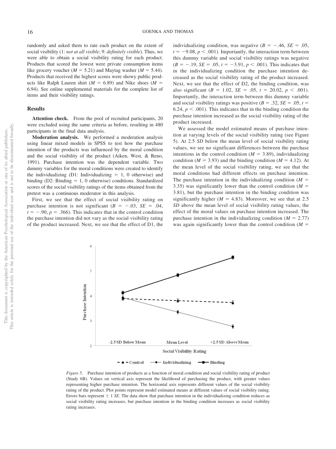randomly and asked them to rate each product on the extent of social visibility (1: *not at all visible*; 9: *definitely visible*). Thus, we were able to obtain a social visibility rating for each product. Products that scored the lowest were private consumption items like grocery voucher ( $M = 5.21$ ) and Maytag washer ( $M = 5.44$ ). Products that received the highest scores were showy public products like Ralph Lauren shirt  $(M = 6.89)$  and Nike shoes  $(M = 6.89)$ 6.94). See [online supplemental materials](http://dx.doi.org/10.1037/pspp0000237.supp) for the complete list of items and their visibility ratings.

#### **Results**

**Attention check.** From the pool of recruited participants, 20 were excluded using the same criteria as before, resulting in 480 participants in the final data analysis.

**Moderation analysis.** We performed a moderation analysis using linear mixed models in SPSS to test how the purchase intention of the products was influenced by the moral condition and the social visibility of the product (Aiken, West, & Reno, 1991). Purchase intention was the dependent variable. Two dummy variables for the moral conditions were created to identify the individualizing  $(D1:$  Individualizing  $= 1, 0$  otherwise) and binding  $(D2: Binding = 1, 0$  otherwise) conditions. Standardized scores of the social visibility ratings of the items obtained from the pretest was a continuous moderator in this analysis.

First, we see that the effect of social visibility rating on purchase intention is not significant  $(B = -.03, SE = .04,$  $t = -.90, p = .366$ ). This indicates that in the control condition the purchase intention did not vary as the social visibility rating of the product increased. Next, we see that the effect of D1, the

individualizing condition, was negative  $(B = -.46, SE = .05,$  $t = -9.08, p < .001$ ). Importantly, the interaction term between this dummy variable and social visibility ratings was negative  $(B = -.19, SE = .05, t = -3.91, p < .001)$ . This indicates that in the individualizing condition the purchase intention decreased as the social visibility rating of the product increased. Next, we see that the effect of D2, the binding condition, was also significant ( $B = 1.02$ ,  $SE = .05$ ,  $t = 20.02$ ,  $p < .001$ ). Importantly, the interaction term between this dummy variable and social visibility ratings was positive  $(B = .32, SE = .05, t =$ 6.24,  $p < .001$ ). This indicates that in the binding condition the purchase intention increased as the social visibility rating of the product increased.

We assessed the model estimated means of purchase intention at varying levels of the social visibility rating (see [Figure](#page-16-0) [5\)](#page-16-0). At 2.5 *SD* below the mean level of social visibility rating values, we see no significant differences between the purchase intentions in the control condition  $(M = 3.89)$ , individualizing condition ( $M = 3.93$ ) and the binding condition ( $M = 4.12$ ). At the mean level of the social visibility rating, we see that the moral conditions had different effects on purchase intention. The purchase intention in the individualizing condition  $(M =$ 3.35) was significantly lower than the control condition  $(M =$ 3.81), but the purchase intention in the binding condition was significantly higher ( $M = 4.83$ ). Moreover, we see that at 2.5 *SD* above the mean level of social visibility rating values, the effect of the moral values on purchase intention increased. The purchase intention in the individualizing condition  $(M = 2.77)$ was again significantly lower than the control condition  $(M =$ 



<span id="page-16-0"></span>*Figure 5.* Purchase intention of products as a function of moral condition and social visibility rating of product (Study 6B). Values on vertical axis represent the likelihood of purchasing the product, with greater values representing higher purchase intention. The horizontal axis represents different values of the social visibility rating of the product. Plot points represent model estimated means at different values of social visibility rating. Errors bars represent  $\pm$  1 *SE*. The data show that purchase intention in the individualizing condition reduces as social visibility rating increases, but purchase intention in the binding condition increases as social visibility rating increases.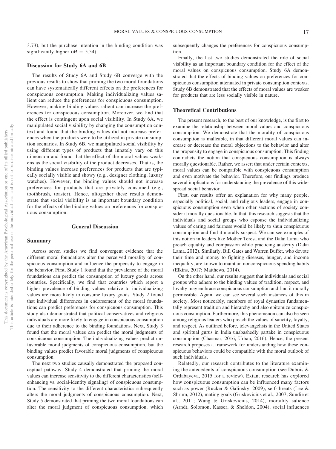3.73), but the purchase intention in the binding condition was significantly higher  $(M = 5.54)$ .

#### **Discussion for Study 6A and 6B**

The results of Study 6A and Study 6B converge with the previous results to show that priming the two moral foundations can have systematically different effects on the preferences for conspicuous consumption. Making individualizing values salient can reduce the preferences for conspicuous consumption. However, making binding values salient can increase the preferences for conspicuous consumption. Moreover, we find that the effect is contingent upon social visibility. In Study 6A, we manipulated social visibility by changing the consumption context and found that the binding values did not increase preferences when the products were to be utilized in private consumption scenarios. In Study 6B, we manipulated social visibility by using different types of products that innately vary on this dimension and found that the effect of the moral values weakens as the social visibility of the product decreases. That is, the binding values increase preferences for products that are typically socially visible and showy (e.g., designer clothing, luxury watches). However, the binding values should not increase preferences for products that are privately consumed (e.g., toothbrush, toaster). Hence, altogether these results demonstrate that social visibility is an important boundary condition for the effects of the binding values on preferences for conspicuous consumption.

#### **General Discussion**

#### **Summary**

Across seven studies we find convergent evidence that the different moral foundations alter the perceived morality of conspicuous consumption and influence the propensity to engage in the behavior. First, Study 1 found that the prevalence of the moral foundations can predict the consumption of luxury goods across countries. Specifically, we find that countries which report a higher prevalence of binding values relative to individualizing values are more likely to consume luxury goods. Study 2 found that individual differences in endorsement of the moral foundations can predict preferences for conspicuous consumption. This study also demonstrated that political conservatives and religious individuals are more likely to engage in conspicuous consumption due to their adherence to the binding foundations. Next, Study 3 found that the moral values can predict the moral judgments of conspicuous consumption. The individualizing values predict unfavorable moral judgments of conspicuous consumption, but the binding values predict favorable moral judgments of conspicuous consumption.

The next two studies causally demonstrated the proposed conceptual pathway. Study 4 demonstrated that priming the moral values can increase sensitivity to the different characteristics (selfenhancing vs. social-identity signaling) of conspicuous consumption. The sensitivity to the different characteristics subsequently alters the moral judgments of conspicuous consumption. Next, Study 5 demonstrated that priming the two moral foundations can alter the moral judgment of conspicuous consumption, which

subsequently changes the preferences for conspicuous consumption.

Finally, the last two studies demonstrated the role of social visibility as an important boundary condition for the effect of the moral values on conspicuous consumption. Study 6A demonstrated that the effects of binding values on preferences for conspicuous consumption attenuated in private consumption contexts. Study 6B demonstrated that the effects of moral values are weaker for products that are less socially visible in nature.

#### **Theoretical Contributions**

The present research, to the best of our knowledge, is the first to examine the relationship between moral values and conspicuous consumption. We demonstrate that the morality of conspicuous consumption is malleable, in that different moral values can increase or decrease the moral objections to the behavior and alter the propensity to engage in conspicuous consumption. This finding contradicts the notion that conspicuous consumption is always morally questionable. Rather, we assert that under certain contexts, moral values can be compatible with conspicuous consumption and even motivate the behavior. Therefore, our findings produce several implications for understanding the prevalence of this widespread social behavior.

First, our results offer an explanation for why many people, especially political, social, and religious leaders, engage in conspicuous consumption even when other sections of society consider it morally questionable. In that, this research suggests that the individuals and social groups who espouse the individualizing values of caring and fairness would be likely to shun conspicuous consumption and find it morally suspect. We can see examples of this notion in leaders like Mother Teresa and the Dalai Lama who preach equality and compassion while practicing austerity (Dalai Lama, 2012). Similarly, Bill Gates and Warren Buffet, who devote their time and money to fighting diseases, hunger, and income inequality, are known to maintain nonconspicuous spending habits (Elkins, 2017; Matthews, 2014).

On the other hand, our results suggest that individuals and social groups who adhere to the binding values of tradition, respect, and loyalty may embrace conspicuous consumption and find it morally permissible. Again, we can see several such instances of this in society. Most noticeably, members of royal dynasties fundamentally represent tradition and hierarchy and also epitomize conspicuous consumption. Furthermore, this phenomenon can also be seen among religious leaders who preach the values of sanctity, loyalty, and respect. As outlined before, televangelists in the United States and spiritual gurus in India unabashedly partake in conspicuous consumption (Chasmar, 2016; Urban, 2016). Hence, the present research proposes a framework for understanding how these conspicuous behaviors could be compatible with the moral outlook of such individuals.

Relatedly, our research contributes to the literature examining the antecedents of conspicuous consumption (see Dubois & Ordabayeva, 2015 for a review). Extant research has explored how conspicuous consumption can be influenced many factors such as power [\(Rucker & Galinsky, 2009\)](#page-21-0), self-threats (Lee & Shrum, 2012), mating goals (Griskevicius et al., 2007; Sundie et al., 2011; Wang & Griskevicius, 2014), mortality salience (Arndt, Solomon, Kasser, & Sheldon, 2004), social influences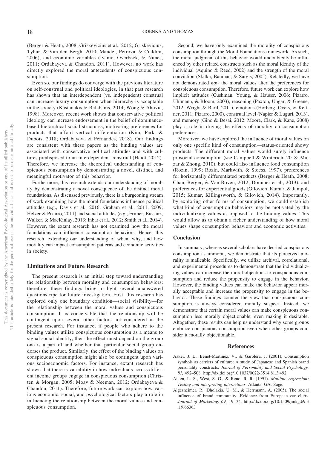(Berger & Heath, 2008; Griskevicius et al., 2012; Griskevicius, Tybur, & Van den Bergh, 2010; Mandel, Petrova, & Cialdini, 2006), and economic variables (Ivanic, Overbeck, & Nunes, 2011; Ordabayeva & Chandon, 2011). However, no work has directly explored the moral antecedents of conspicuous consumption.

Even so, our findings do converge with the previous literature on self-construal and political ideologies, in that past research has shown that an interdependent (vs. independent) construal can increase luxury consumption when hierarchy is acceptable in the society (Kastanakis & Balabanis, 2014; Wong & Ahuvia, 1998). Moreover, recent work shows that conservative political ideology can increase endorsement in the belief of dominancebased hierarchical social structures, motivating preferences for products that afford vertical differentiation (Kim, Park, & Dubois, 2018; Ordabayeva & Fernandes, 2018). Our findings are consistent with these papers as the binding values are associated with conservative political attitudes and with cultures predisposed to an interdependent construal (Haidt, 2012). Therefore, we increase the theoretical understanding of conspicuous consumption by demonstrating a novel, distinct, and meaningful motivator of this behavior.

Furthermore, this research extends our understanding of morality by demonstrating a novel consequence of the distinct moral foundations. As discussed previously, there is a burgeoning stream of work examining how the moral foundations influence political attitudes (e.g., Davis et al., 2016; Graham et al., 2011, 2009; Helzer & Pizarro, 2011) and social attitudes (e.g., Frimer, Biesanz, Walker, & MacKinlay, 2013; Inbar et al., 2012; Smith et al., 2014). However, the extant research has not examined how the moral foundations can influence consumption behaviors. Hence, this research, extending our understanding of when, why, and how morality can impact consumption patterns and economic activities in society.

#### **Limitations and Future Research**

The present research is an initial step toward understanding the relationship between morality and consumption behaviors; therefore, these findings bring to light several unanswered questions ripe for future investigation. First, this research has explored only one boundary condition—social visibility—for the relationship between the moral values and conspicuous consumption. It is conceivable that the relationship will be contingent upon several other factors not considered in the present research. For instance, if people who adhere to the binding values utilize conspicuous consumption as a means to signal social identity, then the effect must depend on the group one is a part of and whether that particular social group endorses the product. Similarly, the effect of the binding values on conspicuous consumption might also be contingent upon various socioeconomic factors. For instance, extant research has shown that there is variability in how individuals across different income groups engage in conspicuous consumption (Christen & Morgan, 2005; Moav & Neeman, 2012; Ordabayeva & Chandon, 2011). Therefore, future work can explore how various economic, social, and psychological factors play a role in influencing the relationship between the moral values and conspicuous consumption.

Second, we have only examined the morality of conspicuous consumption through the Moral Foundations framework. As such, the moral judgment of this behavior would undoubtedly be influenced by other related constructs such as the moral identity of the individual (Aquino & Reed, 2002) and the strength of the moral conviction (Skitka, Bauman, & Sargis, 2005). Relatedly, we have not demonstrated *how* the moral values alter the preferences for conspicuous consumption. Therefore, future work can explore how implicit attitudes (Cushman, Young, & Hauser, 2006; Pizarro, Uhlmann, & Bloom, 2003), reasoning (Paxton, Ungar, & Greene, 2012; Wright & Baril, 2011), emotions (Horberg, Oveis, & Keltner, 2011; Pizarro, 2000), construal level (Napier & Luguri, 2013), and memory (Gino & Desai, 2012; Moore, Clark, & Kane, 2008) play a role in driving the effects of morality on consumption preferences.

Moreover, we have explored the influence of moral values on only one specific kind of consumption—status-oriented showy products. The different moral values would surely influence prosocial consumption (see Campbell & Winterich, 2018; Mazar & Zhong, 2010), but could also influence food consumption (Rozin, 1999; Rozin, Markwith, & Stoess, 1997), preferences for horizontally differentiated products (Berger & Heath, 2008; Chan, Berger, & Van Boven, 2012; Dommer et al., 2013), and preferences for experiential goods (Gilovich, Kumar, & Jampol, 2015; Kumar, Killingsworth, & Gilovich, 2014). Importantly, by exploring other forms of consumption, we could establish what kind of consumption behaviors may be motivated by the individualizing values as opposed to the binding values. This would allow us to obtain a richer understanding of how moral values shape consumption behaviors and economic activities.

#### **Conclusion**

In summary, whereas several scholars have decried conspicuous consumption as immoral, we demonstrate that its perceived morality is malleable. Specifically, we utilize archival, correlational, and experimental procedures to demonstrate that the individualizing values can increase the moral objections to conspicuous consumption and reduce the propensity to engage in the behavior. However, the binding values can make the behavior appear morally acceptable and increase the propensity to engage in the behavior. These findings counter the view that conspicuous consumption is always considered morally suspect. Instead, we demonstrate that certain moral values can make conspicuous consumption less morally objectionable, even making it desirable. Altogether, these results can help us understand why some groups embrace conspicuous consumption even when other groups consider it morally objectionable.

#### **References**

- Aaker, J. L., Benet-Martínez, V., & Garolera, J. (2001). Consumption symbols as carriers of culture: A study of Japanese and Spanish brand personality constructs. *Journal of Personality and Social Psychology, 81,* 492–508.<http://dx.doi.org/10.1037/0022-3514.81.3.492>
- Aiken, L. S., West, S. G., & Reno, R. R. (1991). *Multiple regression: Testing and interpreting interactions*. Atlanta, GA: Sage.
- Algesheimer, R., Dholakia, U. M., & Herrmann, A. (2005). The social influence of brand community: Evidence from European car clubs. *Journal of Marketing, 69,* 19 –34. [http://dx.doi.org/10.1509/jmkg.69.3](http://dx.doi.org/10.1509/jmkg.69.3.19.66363) [.19.66363](http://dx.doi.org/10.1509/jmkg.69.3.19.66363)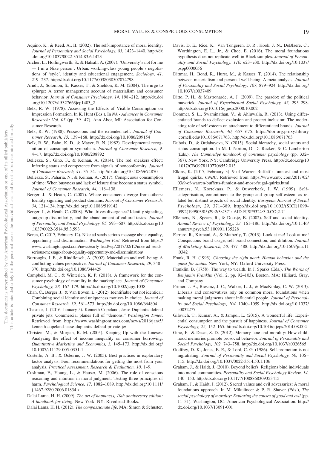- Aquino, K., & Reed, A., II. (2002). The self-importance of moral identity. *Journal of Personality and Social Psychology, 83,* 1423–1440. [http://dx](http://dx.doi.org/10.1037/0022-3514.83.6.1423) [.doi.org/10.1037/0022-3514.83.6.1423](http://dx.doi.org/10.1037/0022-3514.83.6.1423)
- Archer, L., Hollingworth, S., & Halsall, A. (2007). 'University's not for me — I'm a Nike person': Urban, working-class young people's negotiations of 'style', identity and educational engagement. *Sociology, 41,* 219 –237.<http://dx.doi.org/10.1177/0038038507074798>
- Arndt, J., Solomon, S., Kasser, T., & Sheldon, K. M. (2004). The urge to splurge: A terror management account of materialism and consumer behavior. *Journal of Consumer Psychology, 14,* 198 –212. [http://dx.doi](http://dx.doi.org/10.1207/s15327663jcp1403_2) [.org/10.1207/s15327663jcp1403\\_2](http://dx.doi.org/10.1207/s15327663jcp1403_2)
- Belk, R. W. (1978). Assessing the Effects of Visible Consumption on Impression Formation. In K. Hunt (Eds.), In *NA - Advances in Consumer Research: Vol. 05* (pp. 39–47). Ann Abor, MI: Association for Consumer Research.
- Belk, R. W. (1988). Possessions and the extended self. *Journal of Consumer Research, 15,* 139 –168.<http://dx.doi.org/10.1086/209154>
- Belk, R. W., Bahn, K. D., & Mayer, R. N. (1982). Developmental recognition of consumption symbolism. *Journal of Consumer Research, 9,* 4 –17.<http://dx.doi.org/10.1086/208892>
- Bellezza, S., Gino, F., & Keinan, A. (2014). The red sneakers effect: Inferring status and competence from signals of nonconformity. *Journal of Consumer Research, 41,* 35–54.<http://dx.doi.org/10.1086/674870>
- Bellezza, S., Paharia, N., & Keinan, A. (2017). Conspicuous consumption of time: When busyness and lack of leisure time become a status symbol. *Journal of Consumer Research, 44,* 118 –138.
- Berger, J., & Heath, C. (2007). Where consumers diverge from others: Identity signaling and product domains. *Journal of Consumer Research, 34,* 121–134.<http://dx.doi.org/10.1086/519142>
- Berger, J., & Heath, C. (2008). Who drives divergence? Identity signaling, outgroup dissimilarity, and the abandonment of cultural tastes. *Journal of Personality and Social Psychology, 95,* 593– 607. [http://dx.doi.org/10](http://dx.doi.org/10.1037/0022-3514.95.3.593) [.1037/0022-3514.95.3.593](http://dx.doi.org/10.1037/0022-3514.95.3.593)
- Boren, C. (2017, February 12). Nike ad sends serious message about equality, opportunity and discrimination. *Washington Post*. Retrieved from [https://](https://www.washingtonpost.com/news/early-lead/wp/2017/02/12/nike-ad-sends-serious-message-about-equality-opportunity-and-discrimination/) [www.washingtonpost.com/news/early-lead/wp/2017/02/12/nike-ad-sends](https://www.washingtonpost.com/news/early-lead/wp/2017/02/12/nike-ad-sends-serious-message-about-equality-opportunity-and-discrimination/)[serious-message-about-equality-opportunity-and-discrimination/](https://www.washingtonpost.com/news/early-lead/wp/2017/02/12/nike-ad-sends-serious-message-about-equality-opportunity-and-discrimination/)
- Burroughs, J. E., & Rindfleisch, A. (2002). Materialism and well-being: A conflicting values perspective. *Journal of Consumer Research, 29,* 348 – 370.<http://dx.doi.org/10.1086/344429>
- Campbell, M. C., & Winterich, K. P. (2018). A framework for the consumer psychology of morality in the marketplace. *Journal of Consumer Psychology, 28,* 167–179.<http://dx.doi.org/10.1002/jcpy.1038>
- Chan, C., Berger, J., & Van Boven, L. (2012). Identifiable but not identical: Combining social identity and uniqueness motives in choice. *Journal of Consumer Research, 39,* 561–573.<http://dx.doi.org/10.1086/664804>
- Chasmar, J. (2016, January 5). Kenneth Copeland, Jesse Duplantis defend private jets: Commercial planes full of "demons." *Washington Times*. Retrieved from [https://www.washingtontimes.com/news/2016/jan/5/](https://www.washingtontimes.com/news/2016/jan/5/kenneth-copeland-jesse-duplantis-defend-private-je/) [kenneth-copeland-jesse-duplantis-defend-private-je/](https://www.washingtontimes.com/news/2016/jan/5/kenneth-copeland-jesse-duplantis-defend-private-je/)
- Christen, M., & Morgan, R. M. (2005). Keeping Up with the Joneses: Analyzing the effect of income inequality on consumer borrowing. *Quantitative Marketing and Economics, 3,* 145–173. [http://dx.doi.org/](http://dx.doi.org/10.1007/s11129-005-0351-1) [10.1007/s11129-005-0351-1](http://dx.doi.org/10.1007/s11129-005-0351-1)
- Costello, A. B., & Osborne, J. W. (2005). Best practices in exploratory factor analysis: Four recommendations for getting the most from your analysis. *Practical Assessment, Research & Evaluation, 10,* 1–9.
- Cushman, F., Young, L., & Hauser, M. (2006). The role of conscious reasoning and intuition in moral judgment: Testing three principles of harm. *Psychological Science, 17,* 1082–1089. [http://dx.doi.org/10.1111/](http://dx.doi.org/10.1111/j.1467-9280.2006.01834.x) [j.1467-9280.2006.01834.x](http://dx.doi.org/10.1111/j.1467-9280.2006.01834.x)
- Dalai Lama, H. H. (2009). *The art of happiness, 10th anniversary edition: A handbook for living*. New York, NY: Riverhead Books.

Dalai Lama, H. H. (2012). *The compassionate life*. MA: Simon & Schuster.

- Davis, D. E., Rice, K., Van Tongeren, D. R., Hook, J. N., DeBlaere, C., Worthington, E. L., Jr., & Choe, E. (2016). The moral foundations hypothesis does not replicate well in Black samples. *Journal of Personality and Social Psychology, 110,* e23– e30. [http://dx.doi.org/10.1037/](http://dx.doi.org/10.1037/pspp0000056) [pspp0000056](http://dx.doi.org/10.1037/pspp0000056)
- Dittmar, H., Bond, R., Hurst, M., & Kasser, T. (2014). The relationship between materialism and personal well-being: A meta-analysis. *Journal of Personality and Social Psychology, 107,* 879 –924. [http://dx.doi.org/](http://dx.doi.org/10.1037/a0037409) [10.1037/a0037409](http://dx.doi.org/10.1037/a0037409)
- Ditto, P. H., & Mastronarde, A. J. (2009). The paradox of the political maverick. *Journal of Experimental Social Psychology, 45,* 295–298. <http://dx.doi.org/10.1016/j.jesp.2008.10.002>
- Dommer, S. L., Swaminathan, V., & Ahluwalia, R. (2013). Using differentiated brands to deflect exclusion and protect inclusion: The moderating role of self-esteem on attachment to differentiated brands. *Journal of Consumer Research, 40,* 657– 675. [https://doi-org.proxy.library](https://doi-org.proxy.library.cornell.edu/10.1086/671763) [.cornell.edu/10.1086/671763.](https://doi-org.proxy.library.cornell.edu/10.1086/671763)<http://dx.doi.org/10.1086/671763>
- Dubois, D., & Ordabayeva, N. (2015). Social hierarchy, social status and status consumption. In M. I. Norton, D. D. Rucker, & C. Lamberton (Eds.), *The Cambridge handbook of consumer psychology* (pp. 332– 367). New York, NY: Cambridge University Press. [http://dx.doi.org/10](http://dx.doi.org/10.1017/CBO9781107706552.013) [.1017/CBO9781107706552.013](http://dx.doi.org/10.1017/CBO9781107706552.013)
- Elkins, K. (2017, February 3). 9 of Warren Buffett's funniest and most frugal quirks. *CNBC*. Retrieved from [https://www.cnbc.com/2017/02/](https://www.cnbc.com/2017/02/03/9-of-warren-buffetts-funniest-and-most-frugal-quirks.html) [03/9-of-warren-buffetts-funniest-and-most-frugal-quirks.html](https://www.cnbc.com/2017/02/03/9-of-warren-buffetts-funniest-and-most-frugal-quirks.html)
- Ellemers, N., Kortekaas, P., & Ouwerkerk, J. W. (1999). Selfcategorisation, commitment to the group and group self-esteem as related but distinct aspects of social identity. *European Journal of Social Psychology, 29,* 371–389. [http://dx.doi.org/10.1002/\(SICI\)1099-](http://dx.doi.org/10.1002/%28SICI%291099-0992%28199903/05%2929:2/3%3C371::AID-EJSP932%3E3.0.CO;2-U) [0992\(199903/05\)29:2/3](http://dx.doi.org/10.1002/%28SICI%291099-0992%28199903/05%2929:2/3%3C371::AID-EJSP932%3E3.0.CO;2-U)<371::AID-EJSP932>3.0.CO;2-U
- Ellemers, N., Spears, R., & Doosje, B. (2002). Self and social identity. *Annual Review of Psychology, 53,* 161–186. [http://dx.doi.org/10.1146/](http://dx.doi.org/10.1146/annurev.psych.53.100901.135228) [annurev.psych.53.100901.135228](http://dx.doi.org/10.1146/annurev.psych.53.100901.135228)
- Ferraro, R., Kirmani, A., & Matherly, T. (2013). Look at me! Look at me! Conspicuous brand usage, self-brand connection, and dilution. *Journal of Marketing Research, 50,* 477– 488. [http://dx.doi.org/10.1509/jmr.11](http://dx.doi.org/10.1509/jmr.11.0342) [.0342](http://dx.doi.org/10.1509/jmr.11.0342)
- Frank, R. H. (1993). *Choosing the right pond: Human behavior and the quest for status*. New York, NY: Oxford University Press.
- Franklin, B. (1758). The way to wealth. In J. Sparks (Eds.), *The Works of Benjamin Franklin* (Vol. 2, pp. 92–103). Boston, MA: Hilliard, Gray, and Company.
- Frimer, J. A., Biesanz, J. C., Walker, L. J., & MacKinlay, C. W. (2013). Liberals and conservatives rely on common moral foundations when making moral judgments about influential people. *Journal of Personality and Social Psychology, 104,* 1040 –1059. [http://dx.doi.org/10.1037/](http://dx.doi.org/10.1037/a0032277) [a0032277](http://dx.doi.org/10.1037/a0032277)
- Gilovich, T., Kumar, A., & Jampol, L. (2015). A wonderful life: Experiential consumption and the pursuit of happiness. *Journal of Consumer Psychology, 25,* 152–165.<http://dx.doi.org/10.1016/j.jcps.2014.08.004>
- Gino, F., & Desai, S. D. (2012). Memory lane and morality: How childhood memories promote prosocial behavior. *Journal of Personality and Social Psychology, 102,* 743–758.<http://dx.doi.org/10.1037/a0026565>
- Godfrey, D. K., Jones, E. E., & Lord, C. G. (1986). Self-promotion is not ingratiating. *Journal of Personality and Social Psychology, 50,* 106 – 115.<http://dx.doi.org/10.1037/0022-3514.50.1.106>
- Graham, J., & Haidt, J. (2010). Beyond beliefs: Religions bind individuals into moral communities. *Personality and Social Psychology Review, 14,* 140 –150.<http://dx.doi.org/10.1177/1088868309353415>
- Graham, J., & Haidt, J. (2012). Sacred values and evil adversaries: A moral foundations approach. In M. Mikulincer & P. R. Shaver (Eds.), *The social psychology of morality: Exploring the causes of good and evil* (pp. 11–31). Washington, DC: American Psychological Association. [http://](http://dx.doi.org/10.1037/13091-001) [dx.doi.org/10.1037/13091-001](http://dx.doi.org/10.1037/13091-001)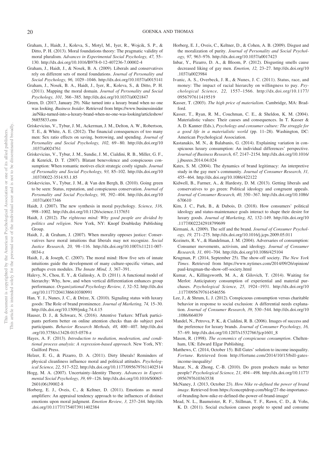- Graham, J., Haidt, J., Koleva, S., Motyl, M., Iyer, R., Wojcik, S. P., & Ditto, P. H. (2013). Moral foundations theory: The pragmatic validity of moral pluralism. *Advances in Experimental Social Psychology, 47,* 55– 130.<http://dx.doi.org/10.1016/B978-0-12-407236-7.00002-4>
- Graham, J., Haidt, J., & Nosek, B. A. (2009). Liberals and conservatives rely on different sets of moral foundations. *Journal of Personality and Social Psychology, 96,* 1029 –1046.<http://dx.doi.org/10.1037/a0015141>
- Graham, J., Nosek, B. A., Haidt, J., Iyer, R., Koleva, S., & Ditto, P. H. (2011). Mapping the moral domain. *Journal of Personality and Social Psychology, 101,* 366 –385.<http://dx.doi.org/10.1037/a0021847>
- Green, D. (2017, January 29). Nike turned into a luxury brand when no one was looking. *Business Insider*. Retrieved from [https://www.businessinsider](https://www.businessinsider.in/Nike-turned-into-a-luxury-brand-when-no-one-was-looking/articleshow/56855833.cms) [.in/Nike-turned-into-a-luxury-brand-when-no-one-was-looking/articleshow/](https://www.businessinsider.in/Nike-turned-into-a-luxury-brand-when-no-one-was-looking/articleshow/56855833.cms) [56855833.cms](https://www.businessinsider.in/Nike-turned-into-a-luxury-brand-when-no-one-was-looking/articleshow/56855833.cms)
- Griskevicius, V., Tybur, J. M., Ackerman, J. M., Delton, A. W., Robertson, T. E., & White, A. E. (2012). The financial consequences of too many men: Sex ratio effects on saving, borrowing, and spending. *Journal of Personality and Social Psychology, 102,* 69 – 80. [http://dx.doi.org/10](http://dx.doi.org/10.1037/a0024761) [.1037/a0024761](http://dx.doi.org/10.1037/a0024761)
- Griskevicius, V., Tybur, J. M., Sundie, J. M., Cialdini, R. B., Miller, G. F., & Kenrick, D. T. (2007). Blatant benevolence and conspicuous consumption: When romantic motives elicit strategic costly signals. *Journal of Personality and Social Psychology, 93,* 85–102. [http://dx.doi.org/10](http://dx.doi.org/10.1037/0022-3514.93.1.85) [.1037/0022-3514.93.1.85](http://dx.doi.org/10.1037/0022-3514.93.1.85)
- Griskevicius, V., Tybur, J. M., & Van den Bergh, B. (2010). Going green to be seen: Status, reputation, and conspicuous conservation. *Journal of Personality and Social Psychology, 98,* 392– 404. [http://dx.doi.org/10](http://dx.doi.org/10.1037/a0017346) [.1037/a0017346](http://dx.doi.org/10.1037/a0017346)
- Haidt, J. (2007). The new synthesis in moral psychology. *Science, 316,* 998 –1002.<http://dx.doi.org/10.1126/science.1137651>
- Haidt, J. (2012). *The righteous mind: Why good people are divided by politics and religion*. New York, NY: Knopf Doubleday Publishing Group.
- Haidt, J., & Graham, J. (2007). When morality opposes justice: Conservatives have moral intuitions that liberals may not recognize. *Social Justice Research, 20,* 98 –116. [http://dx.doi.org/10.1007/s11211-007-](http://dx.doi.org/10.1007/s11211-007-0034-z) [0034-z](http://dx.doi.org/10.1007/s11211-007-0034-z)
- Haidt, J., & Joseph, C. (2007). The moral mind: How five sets of innate intuitions guide the development of many culture-specific virtues, and perhaps even modules. *The Innate Mind, 3,* 367–391.
- Halevy, N., Chou, E. Y., & Galinsky, A. D. (2011). A functional model of hierarchy: Why, how, and when vertical differentiation enhances group performance. *Organizational Psychology Review, 1,* 32–52. [http://dx.doi](http://dx.doi.org/10.1177/2041386610380991) [.org/10.1177/2041386610380991](http://dx.doi.org/10.1177/2041386610380991)
- Han, Y. J., Nunes, J. C., & Drèze, X. (2010). Signaling status with luxury goods: The Role of brand prominence. *Journal of Marketing, 74,* 15–30. <http://dx.doi.org/10.1509/jmkg.74.4.15>
- Hauser, D. J., & Schwarz, N. (2016). Attentive Turkers: MTurk participants perform better on online attention checks than do subject pool participants. *Behavior Research Methods, 48, 400-407.* [http://dx.doi](http://dx.doi.org/10.3758/s13428-015-0578-z) [.org/10.3758/s13428-015-0578-z](http://dx.doi.org/10.3758/s13428-015-0578-z)
- Hayes, A. F. (2013). *Introduction to mediation, moderation, and conditional process analysis: A regression-based approach*. New York, NY: Guilford Press.
- Helzer, E. G., & Pizarro, D. A. (2011). Dirty liberals! Reminders of physical cleanliness influence moral and political attitudes. *Psychological Science, 22,* 517–522.<http://dx.doi.org/10.1177/0956797611402514>
- Hogg, M. A. (2007). Uncertainty–Identity Theory. *Advances in Experimental Social Psychology, 39,* 69 –126. [http://dx.doi.org/10.1016/S0065-](http://dx.doi.org/10.1016/S0065-2601%2806%2939002-8) [2601\(06\)39002-8](http://dx.doi.org/10.1016/S0065-2601%2806%2939002-8)
- Horberg, E. J., Oveis, C., & Keltner, D. (2011). Emotions as moral amplifiers: An appraisal tendency approach to the influences of distinct emotions upon moral judgment. *Emotion Review, 3,* 237–244. [http://dx](http://dx.doi.org/10.1177/1754073911402384) [.doi.org/10.1177/1754073911402384](http://dx.doi.org/10.1177/1754073911402384)
- Horberg, E. J., Oveis, C., Keltner, D., & Cohen, A. B. (2009). Disgust and the moralization of purity. *Journal of Personality and Social Psychology, 97,* 963–976.<http://dx.doi.org/10.1037/a0017423>
- Inbar, Y., Pizarro, D. A., & Bloom, P. (2012). Disgusting smells cause decreased liking of gay men. *Emotion, 12,* 23–27. [http://dx.doi.org/10](http://dx.doi.org/10.1037/a0023984) [.1037/a0023984](http://dx.doi.org/10.1037/a0023984)
- Ivanic, A. S., Overbeck, J. R., & Nunes, J. C. (2011). Status, race, and money: The impact of racial hierarchy on willingness to pay. *Psychological Science, 22,* 1557–1566. [http://dx.doi.org/10.1177/](http://dx.doi.org/10.1177/0956797611419519) [0956797611419519](http://dx.doi.org/10.1177/0956797611419519)
- Kasser, T. (2003). *The high price of materialism*. Cambridge, MA: Bradford.
- Kasser, T., Ryan, R. M., Couchman, C. E., & Sheldon, K. M. (2004). Materialistic values: Their causes and consequences. In T. Kasser & A. D. Kanner (Eds.), *Psychology and consumer culture: The struggle for a good life in a materialistic world* (pp. 11–28). Washington, DC: American Psychological Association.
- Kastanakis, M. N., & Balabanis, G. (2014). Explaining variation in conspicuous luxury consumption: An individual differences' perspective. *Journal of Business Research, 67,* 2147–2154. [http://dx.doi.org/10.1016/](http://dx.doi.org/10.1016/j.jbusres.2014.04.024) [j.jbusres.2014.04.024](http://dx.doi.org/10.1016/j.jbusres.2014.04.024)
- Kates, S. M. (2004). The dynamics of brand legitimacy: An interpretive study in the gay men's community. *Journal of Consumer Research, 31,* 455– 464.<http://dx.doi.org/10.1086/422122>
- Kidwell, B., Farmer, A., & Hardesty, D. M. (2013). Getting liberals and conservatives to go green: Political ideology and congruent appeals. *Journal of Consumer Research, 40,* 350 –367. [http://dx.doi.org/10.1086/](http://dx.doi.org/10.1086/670610) [670610](http://dx.doi.org/10.1086/670610)
- Kim, J. C., Park, B., & Dubois, D. (2018). How consumers' political ideology and status-maintenance goals interact to shape their desire for luxury goods. *Journal of Marketing, 82,* 132–149. [http://dx.doi.org/10](http://dx.doi.org/10.1177/0022242918799699) [.1177/0022242918799699](http://dx.doi.org/10.1177/0022242918799699)
- Kirmani, A. (2009). The self and the brand. *Journal of Consumer Psychology, 19,* 271–275.<http://dx.doi.org/10.1016/j.jcps.2009.05.011>
- Kozinets, R. V., & Handelman, J. M. (2004). Adversaries of consumption: Consumer movements, activism, and ideology. *Journal of Consumer Research, 31,* 691–704.<http://dx.doi.org/10.1086/425104>
- Krugman, P. (2014, September 25). The show-off society. *The New York Times*. Retrieved from [https://www.nytimes.com/2014/09/26/opinion/](https://www.nytimes.com/2014/09/26/opinion/paul-krugman-the-show-off-society.html) [paul-krugman-the-show-off-society.html](https://www.nytimes.com/2014/09/26/opinion/paul-krugman-the-show-off-society.html)
- Kumar, A., Killingsworth, M. A., & Gilovich, T. (2014). Waiting for Merlot: Anticipatory consumption of experiential and material purchases. *Psychological Science, 25,* 1924 –1931. [http://dx.doi.org/10](http://dx.doi.org/10.1177/0956797614546556) [.1177/0956797614546556](http://dx.doi.org/10.1177/0956797614546556)
- Lee, J., & Shrum, L. J. (2012). Conspicuous consumption versus charitable behavior in response to social exclusion: A differential needs explanation. *Journal of Consumer Research, 39,* 530 –544. [http://dx.doi.org/10](http://dx.doi.org/10.1086/664039) [.1086/664039](http://dx.doi.org/10.1086/664039)
- Mandel, N., Petrova, P. K., & Cialdini, R. B. (2006). Images of success and the preference for luxury brands. *Journal of Consumer Psychology, 16,* 57– 69. [http://dx.doi.org/10.1207/s15327663jcp1601\\_8](http://dx.doi.org/10.1207/s15327663jcp1601_8)
- Mason, R. (1998). *The economics of conspicuous consumption*. Cheltenham, UK: Edward Elgar Publishing.
- Matthews, C. (2014, October 15). Bill Gates' solution to income inequality. *Fortune*. Retrieved from [http://fortune.com/2014/10/15/bill-gates](http://fortune.com/2014/10/15/bill-gates-income-inequality/)[income-inequality/](http://fortune.com/2014/10/15/bill-gates-income-inequality/)
- Mazar, N., & Zhong, C.-B. (2010). Do green products make us better people? *Psychological Science, 21,* 494 – 498. [http://dx.doi.org/10.1177/](http://dx.doi.org/10.1177/0956797610363538) [0956797610363538](http://dx.doi.org/10.1177/0956797610363538)
- McNaney, J. (2013, October 23). *How Nike re-defined the power of brand image*. Retrieved from [https://conceptdrop.com/blog/27-the-importance](https://conceptdrop.com/blog/27-the-importance-of-branding-how-nike-re-defined-the-power-of-brand-image/)[of-branding-how-nike-re-defined-the-power-of-brand-image/](https://conceptdrop.com/blog/27-the-importance-of-branding-how-nike-re-defined-the-power-of-brand-image/)
- Mead, N. L., Baumeister, R. F., Stillman, T. F., Rawn, C. D., & Vohs, K. D. (2011). Social exclusion causes people to spend and consume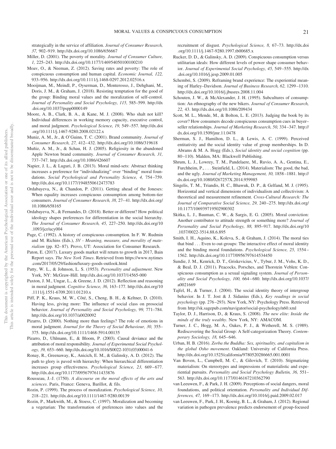- *37,* 902–919.<http://dx.doi.org/10.1086/656667> Miller, D. (2001). The poverty of morality. *Journal of Consumer Culture, 1,* 225–243.<http://dx.doi.org/10.1177/146954050100100210> Moav, O., & Neeman, Z. (2012). Saving rates and poverty: The role of conspicuous consumption and human capital. *Economic Journal, 122,* 933–956.<http://dx.doi.org/10.1111/j.1468-0297.2012.02516.x>
- Mooijman, M., Meindl, P., Oyserman, D., Monterosso, J., Dehghani, M., Doris, J. M., & Graham, J. (2018). Resisting temptation for the good of the group: Binding moral values and the moralization of self-control. *Journal of Personality and Social Psychology, 115,* 585–599. [http://dx](http://dx.doi.org/10.1037/pspp0000149) [.doi.org/10.1037/pspp0000149](http://dx.doi.org/10.1037/pspp0000149)

strategically in the service of affiliation. *Journal of Consumer Research,*

- Moore, A. B., Clark, B. A., & Kane, M. J. (2008). Who shalt not kill? Individual differences in working memory capacity, executive control, and moral judgment. *Psychological Science, 19,* 549 –557. [http://dx.doi](http://dx.doi.org/10.1111/j.1467-9280.2008.02122.x) [.org/10.1111/j.1467-9280.2008.02122.x](http://dx.doi.org/10.1111/j.1467-9280.2008.02122.x)
- Muniz, A. M., Jr., & O'Guinn, T. C. (2001). Brand community. *Journal of Consumer Research, 27,* 412– 432.<http://dx.doi.org/10.1086/319618>
- Muñiz, A. M., Jr., & Schau, H. J. (2005). Religiosity in the abandoned Apple Newton brand community. *Journal of Consumer Research, 31,* 737–747.<http://dx.doi.org/10.1086/426607>
- Napier, J. L., & Luguri, J. B. (2013). Moral mind-sets: Abstract thinking increases a preference for "individualizing" over "binding" moral foundations. *Social Psychological and Personality Science, 4,* 754 –759. <http://dx.doi.org/10.1177/1948550612473783>
- Ordabayeva, N., & Chandon, P. (2011). Getting ahead of the Joneses: When equality increases conspicuous consumption among bottom-tier consumers. *Journal of Consumer Research, 38,* 27– 41. [http://dx.doi.org/](http://dx.doi.org/10.1086/658165) [10.1086/658165](http://dx.doi.org/10.1086/658165)
- Ordabayeva, N., & Fernandes, D. (2018). Better or different? How political ideology shapes preferences for differentiation in the social hierarchy. *The Journal of Consumer Research, 45,* 227–250. [http://dx.doi.org/10](http://dx.doi.org/10.1093/jcr/ucy004) [.1093/jcr/ucy004](http://dx.doi.org/10.1093/jcr/ucy004)
- Page, C. (1992). A history of conspicuous consumption. In F. W. Rudmin and M. Richins (Eds.), *SV - Meaning, measure, and morality of materialism* (pp. 82–87). Provo, UT: Association for Consumer Research.
- Paton, E. (2017). Luxury goods market will return to growth in 2017, Bain Report says. *The New York Times*. Retrieved from [https://www.nytimes](https://www.nytimes.com/2017/05/29/fashion/luxury-goods-outlook.html) [.com/2017/05/29/fashion/luxury-goods-outlook.html](https://www.nytimes.com/2017/05/29/fashion/luxury-goods-outlook.html)
- Patty, W. L., & Johnson, L. S. (1953). *Personality and adjustment*. New York, NY: McGraw-Hill.<http://dx.doi.org/10.1037/14565-000>
- Paxton, J. M., Ungar, L., & Greene, J. D. (2012). Reflection and reasoning in moral judgment. *Cognitive Science, 36,* 163–177. [http://dx.doi.org/10](http://dx.doi.org/10.1111/j.1551-6709.2011.01210.x) [.1111/j.1551-6709.2011.01210.x](http://dx.doi.org/10.1111/j.1551-6709.2011.01210.x)
- Piff, P. K., Kraus, M. W., Côté, S., Cheng, B. H., & Keltner, D. (2010). Having less, giving more: The influence of social class on prosocial behavior. *Journal of Personality and Social Psychology, 99,* 771–784. <http://dx.doi.org/10.1037/a0020092>
- Pizarro, D. (2000). Nothing more than feelings? The role of emotions in moral judgment. *Journal for the Theory of Social Behaviour, 30,* 355– 375.<http://dx.doi.org/10.1111/1468-5914.00135>
- Pizarro, D., Uhlmann, E., & Bloom, P. (2003). Causal deviance and the attribution of moral responsibility. *Journal of Experimental Social Psychology, 39,* 653– 660. [http://dx.doi.org/10.1016/S0022-1031\(03\)00041-6](http://dx.doi.org/10.1016/S0022-1031%2803%2900041-6)
- Ronay, R., Greenaway, K., Anicich, E. M., & Galinsky, A. D. (2012). The path to glory is paved with hierarchy: When hierarchical differentiation increases group effectiveness. *Psychological Science*, 23, 669-677. <http://dx.doi.org/10.1177/0956797611433876>
- Rousseau, J.-J. (1750). *A discourse on the moral effects of the arts and sciences*. Paris, France: Geneva, Barillot, & fils.
- Rozin, P. (1999). The process of moralization. *Psychological Science, 10,* 218 –221.<http://dx.doi.org/10.1111/1467-9280.00139>
- Rozin, P., Markwith, M., & Stoess, C. (1997). Moralization and becoming a vegetarian: The transformation of preferences into values and the

recruitment of disgust. *Psychological Science, 8,* 67–73. [http://dx.doi](http://dx.doi.org/10.1111/j.1467-9280.1997.tb00685.x) [.org/10.1111/j.1467-9280.1997.tb00685.x](http://dx.doi.org/10.1111/j.1467-9280.1997.tb00685.x)

- <span id="page-21-0"></span>Rucker, D. D., & Galinsky, A. D. (2009). Conspicuous consumption versus utilitarian ideals: How different levels of power shape consumer behavior. *Journal of Experimental Social Psychology, 45,* 549 –555. [http://dx](http://dx.doi.org/10.1016/j.jesp.2009.01.005) [.doi.org/10.1016/j.jesp.2009.01.005](http://dx.doi.org/10.1016/j.jesp.2009.01.005)
- Schembri, S. (2009). Reframing brand experience: The experiential meaning of Harley–Davidson. *Journal of Business Research, 62,* 1299 –1310. <http://dx.doi.org/10.1016/j.jbusres.2008.11.004>
- Schouten, J. W., & McAlexander, J. H. (1995). Subcultures of consumption: An ethnography of the new bikers. *Journal of Consumer Research, 22,* 43.<http://dx.doi.org/10.1086/209434>
- Scott, M. L., Mende, M., & Bolton, L. E. (2013). Judging the book by its cover? How consumers decode conspicuous consumption cues in buyer– seller relationships. *Journal of Marketing Research, 50,* 334 –347. [http://](http://dx.doi.org/10.1509/jmr.11.0478) [dx.doi.org/10.1509/jmr.11.0478](http://dx.doi.org/10.1509/jmr.11.0478)
- Sherman, S. J., Hamilton, D. L., & Lewis, A. C. (1999). Perceived entitativity and the social identity value of group memberships. In D. Abrams & M. A. Hogg (Eds.), *Social identity and social cognition* (pp. 80 –110). Malden, MA: Blackwell Publishing.
- Shrum, L. J., Lowrey, T. M., Pandelaere, M., Ruvio, A. A., Gentina, E., Furchheim, P.,... Steinfield, L. (2014). Materialism: The good, the bad, and the ugly. *Journal of Marketing Management, 30,* 1858 –1881. [http://](http://dx.doi.org/10.1080/0267257X.2014.959985) [dx.doi.org/10.1080/0267257X.2014.959985](http://dx.doi.org/10.1080/0267257X.2014.959985)
- Singelis, T. M., Triandis, H. C., Bhawuk, D. P., & Gelfand, M. J. (1995). Horizontal and vertical dimensions of individualism and collectivism: A theoretical and measurement refinement. *Cross-Cultural Research: The Journal of Comparative Social Science, 29,* 240 –275. [http://dx.doi.org/](http://dx.doi.org/10.1177/106939719502900302) [10.1177/106939719502900302](http://dx.doi.org/10.1177/106939719502900302)
- Skitka, L. J., Bauman, C. W., & Sargis, E. G. (2005). Moral conviction: Another contributor to attitude strength or something more? *Journal of Personality and Social Psychology, 88,* 895–917. [http://dx.doi.org/10](http://dx.doi.org/10.1037/0022-3514.88.6.895) [.1037/0022-3514.88.6.895](http://dx.doi.org/10.1037/0022-3514.88.6.895)
- Smith, I. H., Aquino, K., Koleva, S., & Graham, J. (2014). The moral ties that bind... Even to out-groups: The interactive effect of moral identity and the binding moral foundations. *Psychological Science, 25,* 1554 – 1562.<http://dx.doi.org/10.1177/0956797614534450>
- Sundie, J. M., Kenrick, D. T., Griskevicius, V., Tybur, J. M., Vohs, K. D., & Beal, D. J. (2011). Peacocks, Porsches, and Thorstein Veblen: Conspicuous consumption as a sexual signaling system. *Journal of Personality and Social Psychology, 100,* 664 – 680. [http://dx.doi.org/10.1037/](http://dx.doi.org/10.1037/a0021669) [a0021669](http://dx.doi.org/10.1037/a0021669)
- Tajfel, H., & Turner, J. (2004). The social identity theory of intergroup behavior. In J. T. Jost & J. Sidanius (Eds.), *Key readings in social psychology* (pp. 276 –293). New York, NY: Psychology Press. Retrieved from<http://sk.sagepub.com/navigator/social-psychology/n60.xml>
- Taylor, D. J., Harrison, D., & Kraus, S. (2008). *The new elite: Inside the minds of the truly wealthy*. New York, NY: AMACOM.
- Turner, J. C., Hogg, M. A., Oakes, P. J., & Wetherell, M. S. (1989). Rediscovering the Social Group: A Self-categorization Theory. *Contemporary Sociology, 18,* 645– 646.
- Urban, H. B. (2016). *Zorba the Buddha: Sex, spirituality, and capitalism in the global Osho movement*. Oakland: University of California Press. <http://dx.doi.org/10.1525/california/9780520286665.001.0001>
- Van Boven, L., Campbell, M. C., & Gilovich, T. (2010). Stigmatizing materialism: On stereotypes and impressions of materialistic and experiential pursuits. *Personality and Social Psychology Bulletin, 36,* 551– 563.<http://dx.doi.org/10.1177/0146167210362790>
- van Leeuwen, F., & Park, J. H. (2009). Perceptions of social dangers, moral foundations, and political orientation. *Personality and Individual Differences, 47,* 169 –173.<http://dx.doi.org/10.1016/j.paid.2009.02.017>
- van Leeuwen, F., Park, J. H., Koenig, B. L., & Graham, J. (2012). Regional variation in pathogen prevalence predicts endorsement of group-focused